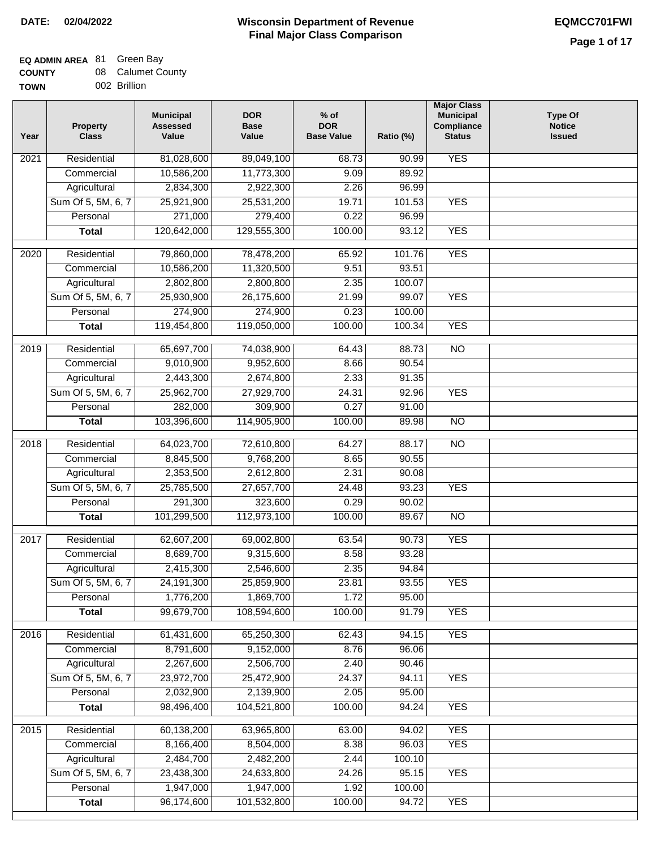$\Box$ 

### **Wisconsin Department of Revenue Final Major Class Comparison DATE: 02/04/2022 EQMCC701FWI**

#### **EQ ADMIN AREA** 81 Green Bay **COUNTY** 08 Calumet County

| <b>UUUNIT</b> | ,,,, | <b>Caluttic Cou</b> |
|---------------|------|---------------------|
| <b>TOWN</b>   |      | 002 Brillion        |

| Year | Property<br><b>Class</b> | <b>Municipal</b><br><b>Assessed</b><br>Value | <b>DOR</b><br><b>Base</b><br>Value | $%$ of<br><b>DOR</b><br><b>Base Value</b> | Ratio (%) | <b>Major Class</b><br><b>Municipal</b><br>Compliance<br><b>Status</b> | <b>Type Of</b><br><b>Notice</b><br><b>Issued</b> |
|------|--------------------------|----------------------------------------------|------------------------------------|-------------------------------------------|-----------|-----------------------------------------------------------------------|--------------------------------------------------|
| 2021 | Residential              | 81,028,600                                   | 89,049,100                         | 68.73                                     | 90.99     | <b>YES</b>                                                            |                                                  |
|      | Commercial               | 10,586,200                                   | 11,773,300                         | 9.09                                      | 89.92     |                                                                       |                                                  |
|      | Agricultural             | 2,834,300                                    | 2,922,300                          | 2.26                                      | 96.99     |                                                                       |                                                  |
|      | Sum Of 5, 5M, 6, 7       | 25,921,900                                   | 25,531,200                         | 19.71                                     | 101.53    | <b>YES</b>                                                            |                                                  |
|      | Personal                 | 271,000                                      | 279,400                            | 0.22                                      | 96.99     |                                                                       |                                                  |
|      | <b>Total</b>             | 120,642,000                                  | 129,555,300                        | 100.00                                    | 93.12     | <b>YES</b>                                                            |                                                  |
| 2020 | Residential              | 79,860,000                                   | 78,478,200                         | 65.92                                     | 101.76    | <b>YES</b>                                                            |                                                  |
|      | Commercial               | 10,586,200                                   | 11,320,500                         | 9.51                                      | 93.51     |                                                                       |                                                  |
|      | Agricultural             | 2,802,800                                    | 2,800,800                          | 2.35                                      | 100.07    |                                                                       |                                                  |
|      | Sum Of 5, 5M, 6, 7       | 25,930,900                                   | 26,175,600                         | 21.99                                     | 99.07     | <b>YES</b>                                                            |                                                  |
|      | Personal                 | 274,900                                      | 274,900                            | 0.23                                      | 100.00    |                                                                       |                                                  |
|      | <b>Total</b>             | 119,454,800                                  | 119,050,000                        | 100.00                                    | 100.34    | <b>YES</b>                                                            |                                                  |
| 2019 | Residential              | 65,697,700                                   | 74,038,900                         | 64.43                                     | 88.73     | <b>NO</b>                                                             |                                                  |
|      | Commercial               | 9,010,900                                    | 9,952,600                          | 8.66                                      | 90.54     |                                                                       |                                                  |
|      | Agricultural             | 2,443,300                                    | 2,674,800                          | 2.33                                      | 91.35     |                                                                       |                                                  |
|      | Sum Of 5, 5M, 6, 7       | 25,962,700                                   | 27,929,700                         | 24.31                                     | 92.96     | <b>YES</b>                                                            |                                                  |
|      | Personal                 | 282,000                                      | 309,900                            | 0.27                                      | 91.00     |                                                                       |                                                  |
|      | <b>Total</b>             | 103,396,600                                  | 114,905,900                        | 100.00                                    | 89.98     | <b>NO</b>                                                             |                                                  |
|      |                          |                                              |                                    |                                           |           |                                                                       |                                                  |
| 2018 | Residential              | 64,023,700                                   | 72,610,800                         | 64.27                                     | 88.17     | $\overline{NO}$                                                       |                                                  |
|      | Commercial               | 8,845,500                                    | 9,768,200                          | 8.65                                      | 90.55     |                                                                       |                                                  |
|      | Agricultural             | 2,353,500                                    | 2,612,800                          | 2.31                                      | 90.08     |                                                                       |                                                  |
|      | Sum Of 5, 5M, 6, 7       | 25,785,500                                   | 27,657,700                         | 24.48                                     | 93.23     | <b>YES</b>                                                            |                                                  |
|      | Personal                 | 291,300                                      | 323,600                            | 0.29                                      | 90.02     |                                                                       |                                                  |
|      | <b>Total</b>             | 101,299,500                                  | 112,973,100                        | 100.00                                    | 89.67     | NO                                                                    |                                                  |
| 2017 | Residential              | 62,607,200                                   | 69,002,800                         | 63.54                                     | 90.73     | <b>YES</b>                                                            |                                                  |
|      | Commercial               | 8,689,700                                    | 9,315,600                          | 8.58                                      | 93.28     |                                                                       |                                                  |
|      | Agricultural             | 2,415,300                                    | 2,546,600                          | 2.35                                      | 94.84     |                                                                       |                                                  |
|      | Sum Of 5, 5M, 6, 7       | 24,191,300                                   | 25,859,900                         | 23.81                                     | 93.55     | <b>YES</b>                                                            |                                                  |
|      | Personal                 | 1,776,200                                    | 1,869,700                          | 1.72                                      | 95.00     |                                                                       |                                                  |
|      | <b>Total</b>             | 99,679,700                                   | 108,594,600                        | 100.00                                    | 91.79     | <b>YES</b>                                                            |                                                  |
| 2016 | Residential              | 61,431,600                                   | 65,250,300                         | 62.43                                     | 94.15     | <b>YES</b>                                                            |                                                  |
|      | Commercial               | 8,791,600                                    | 9,152,000                          | 8.76                                      | 96.06     |                                                                       |                                                  |
|      | Agricultural             | 2,267,600                                    | 2,506,700                          | 2.40                                      | 90.46     |                                                                       |                                                  |
|      | Sum Of 5, 5M, 6, 7       | 23,972,700                                   | 25,472,900                         | 24.37                                     | 94.11     | <b>YES</b>                                                            |                                                  |
|      | Personal                 | 2,032,900                                    | 2,139,900                          | 2.05                                      | 95.00     |                                                                       |                                                  |
|      | <b>Total</b>             | 98,496,400                                   | 104,521,800                        | 100.00                                    | 94.24     | <b>YES</b>                                                            |                                                  |
|      |                          |                                              |                                    |                                           |           |                                                                       |                                                  |
| 2015 | Residential              | 60,138,200                                   | 63,965,800                         | 63.00                                     | 94.02     | <b>YES</b>                                                            |                                                  |
|      | Commercial               | 8,166,400                                    | 8,504,000                          | 8.38                                      | 96.03     | <b>YES</b>                                                            |                                                  |
|      | Agricultural             | 2,484,700                                    | 2,482,200                          | 2.44                                      | 100.10    |                                                                       |                                                  |
|      | Sum Of 5, 5M, 6, 7       | 23,438,300                                   | 24,633,800                         | 24.26                                     | 95.15     | <b>YES</b>                                                            |                                                  |
|      | Personal                 | 1,947,000                                    | 1,947,000                          | 1.92                                      | 100.00    | <b>YES</b>                                                            |                                                  |
|      | <b>Total</b>             | 96,174,600                                   | 101,532,800                        | 100.00                                    | 94.72     |                                                                       |                                                  |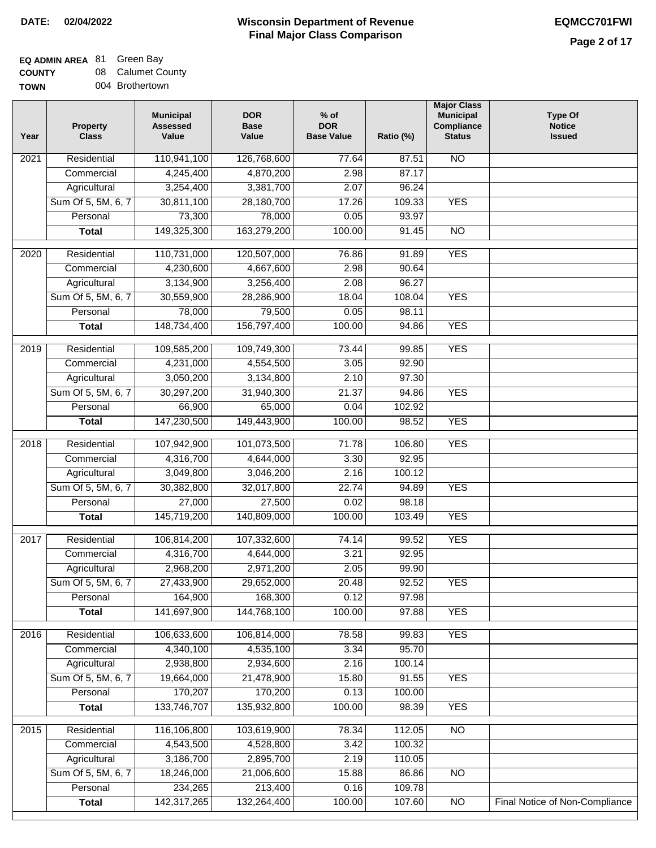# **EQ ADMIN AREA** 81 Green Bay

**COUNTY TOWN** 08 Calumet County 004 Brothertown

| Year | <b>Property</b><br><b>Class</b> | <b>Municipal</b><br><b>Assessed</b><br>Value | <b>DOR</b><br><b>Base</b><br>Value | $%$ of<br><b>DOR</b><br><b>Base Value</b> | Ratio (%) | <b>Major Class</b><br><b>Municipal</b><br>Compliance<br><b>Status</b> | <b>Type Of</b><br><b>Notice</b><br><b>Issued</b> |
|------|---------------------------------|----------------------------------------------|------------------------------------|-------------------------------------------|-----------|-----------------------------------------------------------------------|--------------------------------------------------|
| 2021 | Residential                     | 110,941,100                                  | 126,768,600                        | 77.64                                     | 87.51     | $\overline{NO}$                                                       |                                                  |
|      | Commercial                      | 4,245,400                                    | 4,870,200                          | 2.98                                      | 87.17     |                                                                       |                                                  |
|      | Agricultural                    | 3,254,400                                    | 3,381,700                          | 2.07                                      | 96.24     |                                                                       |                                                  |
|      | Sum Of 5, 5M, 6, 7              | 30,811,100                                   | 28,180,700                         | 17.26                                     | 109.33    | <b>YES</b>                                                            |                                                  |
|      | Personal                        | 73,300                                       | 78,000                             | 0.05                                      | 93.97     |                                                                       |                                                  |
|      | <b>Total</b>                    | 149,325,300                                  | 163,279,200                        | 100.00                                    | 91.45     | $\overline{NO}$                                                       |                                                  |
|      |                                 |                                              |                                    |                                           |           |                                                                       |                                                  |
| 2020 | Residential                     | 110,731,000                                  | 120,507,000                        | 76.86                                     | 91.89     | <b>YES</b>                                                            |                                                  |
|      | Commercial                      | 4,230,600                                    | 4,667,600                          | 2.98                                      | 90.64     |                                                                       |                                                  |
|      | Agricultural                    | 3,134,900                                    | 3,256,400                          | 2.08                                      | 96.27     |                                                                       |                                                  |
|      | Sum Of 5, 5M, 6, 7              | 30,559,900                                   | 28,286,900                         | 18.04                                     | 108.04    | <b>YES</b>                                                            |                                                  |
|      | Personal                        | 78,000                                       | 79,500                             | 0.05                                      | 98.11     |                                                                       |                                                  |
|      | <b>Total</b>                    | 148,734,400                                  | 156,797,400                        | 100.00                                    | 94.86     | <b>YES</b>                                                            |                                                  |
| 2019 | Residential                     | 109,585,200                                  | 109,749,300                        | 73.44                                     | 99.85     | <b>YES</b>                                                            |                                                  |
|      | Commercial                      | 4,231,000                                    | 4,554,500                          | 3.05                                      | 92.90     |                                                                       |                                                  |
|      | Agricultural                    | 3,050,200                                    | 3,134,800                          | 2.10                                      | 97.30     |                                                                       |                                                  |
|      | Sum Of 5, 5M, 6, 7              | 30,297,200                                   | 31,940,300                         | 21.37                                     | 94.86     | <b>YES</b>                                                            |                                                  |
|      | Personal                        | 66,900                                       | 65,000                             | 0.04                                      | 102.92    |                                                                       |                                                  |
|      | <b>Total</b>                    | 147,230,500                                  | 149,443,900                        | 100.00                                    | 98.52     | <b>YES</b>                                                            |                                                  |
| 2018 | Residential                     | 107,942,900                                  | 101,073,500                        | 71.78                                     | 106.80    | <b>YES</b>                                                            |                                                  |
|      | Commercial                      | 4,316,700                                    | 4,644,000                          | 3.30                                      | 92.95     |                                                                       |                                                  |
|      | Agricultural                    | 3,049,800                                    | 3,046,200                          | 2.16                                      | 100.12    |                                                                       |                                                  |
|      | Sum Of 5, 5M, 6, 7              | 30,382,800                                   | 32,017,800                         | 22.74                                     | 94.89     | <b>YES</b>                                                            |                                                  |
|      | Personal                        | 27,000                                       | 27,500                             | 0.02                                      | 98.18     |                                                                       |                                                  |
|      | <b>Total</b>                    | 145,719,200                                  | 140,809,000                        | 100.00                                    | 103.49    | <b>YES</b>                                                            |                                                  |
|      |                                 |                                              |                                    |                                           |           |                                                                       |                                                  |
| 2017 | Residential                     | 106,814,200                                  | 107,332,600                        | 74.14                                     | 99.52     | <b>YES</b>                                                            |                                                  |
|      | Commercial                      | 4,316,700                                    | 4,644,000                          | 3.21                                      | 92.95     |                                                                       |                                                  |
|      | Agricultural                    | 2,968,200                                    | 2,971,200                          | 2.05                                      | 99.90     |                                                                       |                                                  |
|      | Sum Of 5, 5M, 6, 7              | 27,433,900                                   | 29,652,000                         | 20.48                                     | 92.52     | <b>YES</b>                                                            |                                                  |
|      | Personal                        | 164,900                                      | 168,300                            | 0.12                                      | 97.98     |                                                                       |                                                  |
|      | <b>Total</b>                    | 141,697,900                                  | 144,768,100                        | 100.00                                    | 97.88     | <b>YES</b>                                                            |                                                  |
| 2016 | Residential                     | 106,633,600                                  | 106,814,000                        | 78.58                                     | 99.83     | <b>YES</b>                                                            |                                                  |
|      | Commercial                      | 4,340,100                                    | 4,535,100                          | 3.34                                      | 95.70     |                                                                       |                                                  |
|      | Agricultural                    | 2,938,800                                    | 2,934,600                          | 2.16                                      | 100.14    |                                                                       |                                                  |
|      | Sum Of 5, 5M, 6, 7              | 19,664,000                                   | 21,478,900                         | 15.80                                     | 91.55     | <b>YES</b>                                                            |                                                  |
|      | Personal                        | 170,207                                      | 170,200                            | 0.13                                      | 100.00    |                                                                       |                                                  |
|      | <b>Total</b>                    | 133,746,707                                  | 135,932,800                        | 100.00                                    | 98.39     | <b>YES</b>                                                            |                                                  |
| 2015 | Residential                     | 116,106,800                                  | 103,619,900                        | 78.34                                     | 112.05    | <b>NO</b>                                                             |                                                  |
|      | Commercial                      | 4,543,500                                    | 4,528,800                          | 3.42                                      | 100.32    |                                                                       |                                                  |
|      | Agricultural                    | 3,186,700                                    | 2,895,700                          | 2.19                                      | 110.05    |                                                                       |                                                  |
|      | Sum Of 5, 5M, 6, 7              | 18,246,000                                   | 21,006,600                         | 15.88                                     | 86.86     | $\overline{NO}$                                                       |                                                  |
|      | Personal                        | 234,265                                      | 213,400                            | 0.16                                      | 109.78    |                                                                       |                                                  |
|      | <b>Total</b>                    | 142,317,265                                  | 132,264,400                        | 100.00                                    | 107.60    | $\overline{NO}$                                                       | Final Notice of Non-Compliance                   |
|      |                                 |                                              |                                    |                                           |           |                                                                       |                                                  |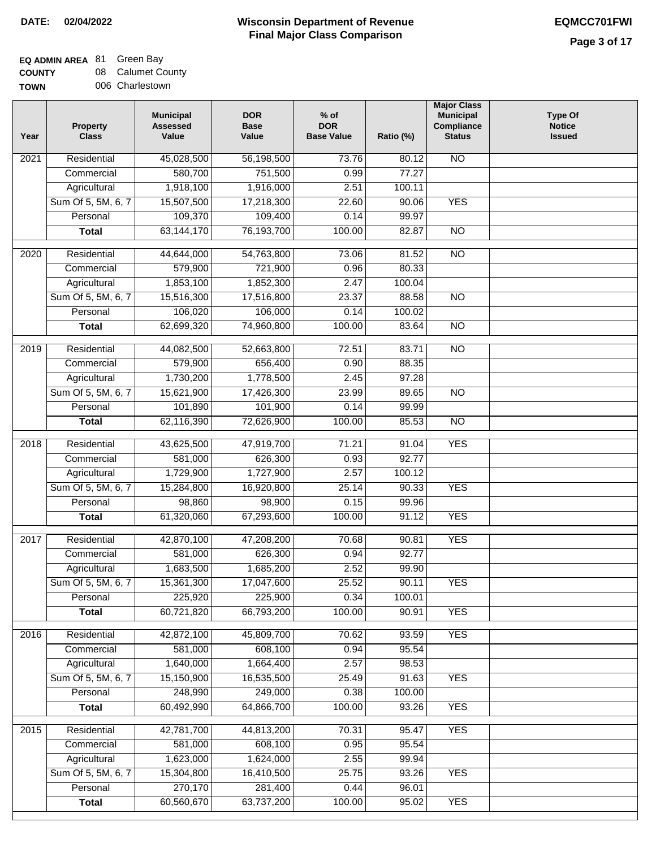### **EQ ADMIN AREA** Green Bay

**COUNTY TOWN** 08 006 Charlestown Calumet County

| Year | <b>Property</b><br><b>Class</b> | <b>Municipal</b><br><b>Assessed</b><br>Value | <b>DOR</b><br><b>Base</b><br>Value | $%$ of<br><b>DOR</b><br><b>Base Value</b> | Ratio (%) | <b>Major Class</b><br><b>Municipal</b><br>Compliance<br><b>Status</b> | <b>Type Of</b><br><b>Notice</b><br><b>Issued</b> |
|------|---------------------------------|----------------------------------------------|------------------------------------|-------------------------------------------|-----------|-----------------------------------------------------------------------|--------------------------------------------------|
| 2021 | Residential                     | 45,028,500                                   | 56,198,500                         | 73.76                                     | 80.12     | <b>NO</b>                                                             |                                                  |
|      | Commercial                      | 580,700                                      | 751,500                            | 0.99                                      | 77.27     |                                                                       |                                                  |
|      | Agricultural                    | 1,918,100                                    | 1,916,000                          | 2.51                                      | 100.11    |                                                                       |                                                  |
|      | Sum Of 5, 5M, 6, 7              | 15,507,500                                   | 17,218,300                         | 22.60                                     | 90.06     | <b>YES</b>                                                            |                                                  |
|      | Personal                        | 109,370                                      | 109,400                            | 0.14                                      | 99.97     |                                                                       |                                                  |
|      | <b>Total</b>                    | 63, 144, 170                                 | 76,193,700                         | 100.00                                    | 82.87     | $\overline{NO}$                                                       |                                                  |
|      |                                 |                                              |                                    |                                           |           |                                                                       |                                                  |
| 2020 | Residential                     | 44,644,000                                   | 54,763,800                         | 73.06                                     | 81.52     | $\overline{NO}$                                                       |                                                  |
|      | Commercial                      | 579,900                                      | 721,900                            | 0.96                                      | 80.33     |                                                                       |                                                  |
|      | Agricultural                    | 1,853,100                                    | 1,852,300                          | 2.47                                      | 100.04    |                                                                       |                                                  |
|      | Sum Of 5, 5M, 6, 7              | 15,516,300                                   | 17,516,800                         | 23.37                                     | 88.58     | <b>NO</b>                                                             |                                                  |
|      | Personal                        | 106,020                                      | 106,000                            | 0.14                                      | 100.02    |                                                                       |                                                  |
|      | <b>Total</b>                    | 62,699,320                                   | 74,960,800                         | 100.00                                    | 83.64     | <b>NO</b>                                                             |                                                  |
| 2019 | Residential                     | 44,082,500                                   | 52,663,800                         | 72.51                                     | 83.71     | $\overline{NO}$                                                       |                                                  |
|      | Commercial                      | 579,900                                      | 656,400                            | 0.90                                      | 88.35     |                                                                       |                                                  |
|      | Agricultural                    | 1,730,200                                    | 1,778,500                          | 2.45                                      | 97.28     |                                                                       |                                                  |
|      | Sum Of 5, 5M, 6, 7              | 15,621,900                                   | 17,426,300                         | 23.99                                     | 89.65     | $\overline{NO}$                                                       |                                                  |
|      | Personal                        | 101,890                                      | 101,900                            | 0.14                                      | 99.99     |                                                                       |                                                  |
|      | <b>Total</b>                    | 62,116,390                                   | 72,626,900                         | 100.00                                    | 85.53     | $\overline{NO}$                                                       |                                                  |
| 2018 | Residential                     | 43,625,500                                   | 47,919,700                         | 71.21                                     | 91.04     | <b>YES</b>                                                            |                                                  |
|      | Commercial                      | 581,000                                      | 626,300                            | 0.93                                      | 92.77     |                                                                       |                                                  |
|      | Agricultural                    | 1,729,900                                    | 1,727,900                          | 2.57                                      | 100.12    |                                                                       |                                                  |
|      | Sum Of 5, 5M, 6, 7              | 15,284,800                                   | 16,920,800                         | 25.14                                     | 90.33     | <b>YES</b>                                                            |                                                  |
|      | Personal                        | 98,860                                       | 98,900                             | 0.15                                      | 99.96     |                                                                       |                                                  |
|      | <b>Total</b>                    | 61,320,060                                   | 67,293,600                         | 100.00                                    | 91.12     | <b>YES</b>                                                            |                                                  |
|      |                                 |                                              |                                    |                                           |           |                                                                       |                                                  |
| 2017 | Residential                     | 42,870,100                                   | 47,208,200                         | 70.68                                     | 90.81     | <b>YES</b>                                                            |                                                  |
|      | Commercial                      | 581,000                                      | 626,300                            | 0.94                                      | 92.77     |                                                                       |                                                  |
|      | Agricultural                    | 1,683,500                                    | 1,685,200                          | 2.52                                      | 99.90     |                                                                       |                                                  |
|      | Sum Of 5, 5M, 6, 7              | 15,361,300                                   | 17,047,600                         | 25.52                                     | 90.11     | <b>YES</b>                                                            |                                                  |
|      | Personal                        | 225,920                                      | 225,900                            | 0.34                                      | 100.01    |                                                                       |                                                  |
|      | <b>Total</b>                    | 60,721,820                                   | 66,793,200                         | 100.00                                    | 90.91     | <b>YES</b>                                                            |                                                  |
| 2016 | Residential                     | 42,872,100                                   | 45,809,700                         | 70.62                                     | 93.59     | <b>YES</b>                                                            |                                                  |
|      | Commercial                      | 581,000                                      | 608,100                            | 0.94                                      | 95.54     |                                                                       |                                                  |
|      | Agricultural                    | 1,640,000                                    | 1,664,400                          | 2.57                                      | 98.53     |                                                                       |                                                  |
|      | Sum Of 5, 5M, 6, 7              | 15,150,900                                   | 16,535,500                         | 25.49                                     | 91.63     | <b>YES</b>                                                            |                                                  |
|      | Personal                        | 248,990                                      | 249,000                            | 0.38                                      | 100.00    |                                                                       |                                                  |
|      | <b>Total</b>                    | 60,492,990                                   | 64,866,700                         | 100.00                                    | 93.26     | <b>YES</b>                                                            |                                                  |
| 2015 | Residential                     | 42,781,700                                   | 44,813,200                         | 70.31                                     | 95.47     | <b>YES</b>                                                            |                                                  |
|      | Commercial                      | 581,000                                      | 608,100                            | 0.95                                      | 95.54     |                                                                       |                                                  |
|      | Agricultural                    | 1,623,000                                    | 1,624,000                          | 2.55                                      | 99.94     |                                                                       |                                                  |
|      | Sum Of 5, 5M, 6, 7              | 15,304,800                                   | 16,410,500                         | 25.75                                     | 93.26     | <b>YES</b>                                                            |                                                  |
|      | Personal                        | 270,170                                      | 281,400                            | 0.44                                      | 96.01     |                                                                       |                                                  |
|      | <b>Total</b>                    | 60,560,670                                   | 63,737,200                         | 100.00                                    | 95.02     | <b>YES</b>                                                            |                                                  |
|      |                                 |                                              |                                    |                                           |           |                                                                       |                                                  |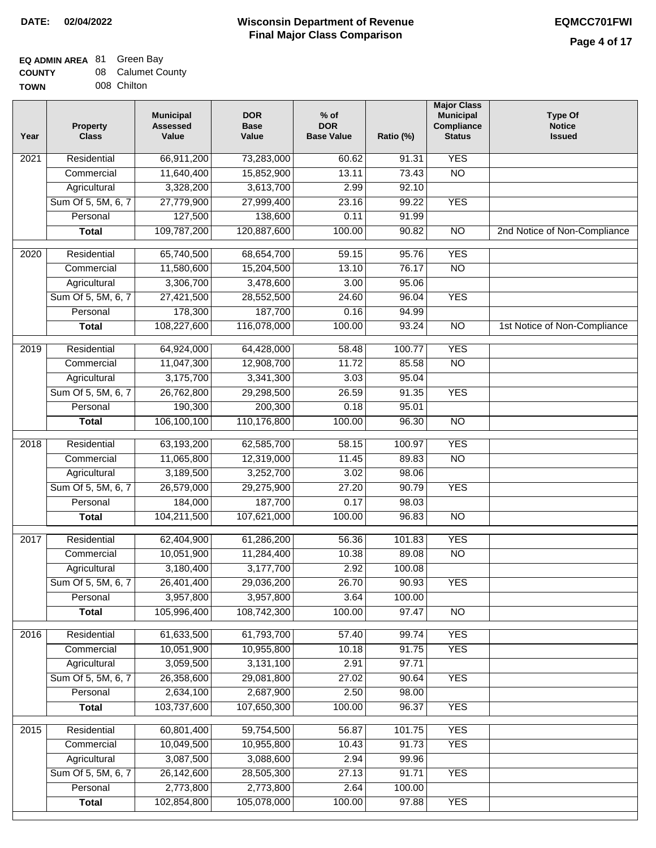### **Wisconsin Department of Revenue Final Major Class Comparison DATE: 02/04/2022 EQMCC701FWI**

### **EQ ADMIN AREA** 81 Green Bay **COUNTY**

| <b>COUNTY</b> | 08 Calumet County |
|---------------|-------------------|
| <b>TOWN</b>   | 008 Chilton       |

| Year             | <b>Property</b><br><b>Class</b> | <b>Municipal</b><br><b>Assessed</b><br>Value | <b>DOR</b><br><b>Base</b><br>Value | $%$ of<br><b>DOR</b><br><b>Base Value</b> | Ratio (%) | <b>Major Class</b><br><b>Municipal</b><br>Compliance<br><b>Status</b> | <b>Type Of</b><br><b>Notice</b><br><b>Issued</b> |
|------------------|---------------------------------|----------------------------------------------|------------------------------------|-------------------------------------------|-----------|-----------------------------------------------------------------------|--------------------------------------------------|
| 2021             | Residential                     | 66,911,200                                   | 73,283,000                         | 60.62                                     | 91.31     | <b>YES</b>                                                            |                                                  |
|                  | Commercial                      | 11,640,400                                   | 15,852,900                         | 13.11                                     | 73.43     | $\overline{NO}$                                                       |                                                  |
|                  | Agricultural                    | 3,328,200                                    | 3,613,700                          | 2.99                                      | 92.10     |                                                                       |                                                  |
|                  | Sum Of 5, 5M, 6, 7              | 27,779,900                                   | 27,999,400                         | 23.16                                     | 99.22     | <b>YES</b>                                                            |                                                  |
|                  | Personal                        | 127,500                                      | 138,600                            | 0.11                                      | 91.99     |                                                                       |                                                  |
|                  | <b>Total</b>                    | 109,787,200                                  | 120,887,600                        | 100.00                                    | 90.82     | $\overline{NO}$                                                       | 2nd Notice of Non-Compliance                     |
| $\frac{1}{2020}$ | Residential                     | 65,740,500                                   | 68,654,700                         | 59.15                                     | 95.76     | <b>YES</b>                                                            |                                                  |
|                  | Commercial                      | 11,580,600                                   | 15,204,500                         | 13.10                                     | 76.17     | $\overline{NO}$                                                       |                                                  |
|                  | Agricultural                    | 3,306,700                                    | 3,478,600                          | 3.00                                      | 95.06     |                                                                       |                                                  |
|                  | Sum Of 5, 5M, 6, 7              | 27,421,500                                   | 28,552,500                         | 24.60                                     | 96.04     | <b>YES</b>                                                            |                                                  |
|                  | Personal                        | 178,300                                      | 187,700                            | 0.16                                      | 94.99     |                                                                       |                                                  |
|                  | <b>Total</b>                    | 108,227,600                                  | 116,078,000                        | 100.00                                    | 93.24     | $\overline{NO}$                                                       | 1st Notice of Non-Compliance                     |
|                  |                                 |                                              |                                    |                                           |           |                                                                       |                                                  |
| 2019             | Residential                     | 64,924,000                                   | 64,428,000                         | 58.48                                     | 100.77    | <b>YES</b>                                                            |                                                  |
|                  | Commercial                      | 11,047,300                                   | 12,908,700                         | 11.72                                     | 85.58     | $\overline{NO}$                                                       |                                                  |
|                  | Agricultural                    | 3,175,700                                    | 3,341,300                          | 3.03                                      | 95.04     |                                                                       |                                                  |
|                  | Sum Of 5, 5M, 6, 7              | 26,762,800                                   | 29,298,500                         | 26.59                                     | 91.35     | <b>YES</b>                                                            |                                                  |
|                  | Personal                        | 190,300                                      | 200,300                            | 0.18                                      | 95.01     |                                                                       |                                                  |
|                  | <b>Total</b>                    | 106,100,100                                  | 110,176,800                        | 100.00                                    | 96.30     | $\overline{NO}$                                                       |                                                  |
| 2018             | Residential                     | 63,193,200                                   | 62,585,700                         | 58.15                                     | 100.97    | <b>YES</b>                                                            |                                                  |
|                  | Commercial                      | 11,065,800                                   | 12,319,000                         | 11.45                                     | 89.83     | <b>NO</b>                                                             |                                                  |
|                  | Agricultural                    | 3,189,500                                    | 3,252,700                          | 3.02                                      | 98.06     |                                                                       |                                                  |
|                  | Sum Of 5, 5M, 6, 7              | 26,579,000                                   | 29,275,900                         | 27.20                                     | 90.79     | <b>YES</b>                                                            |                                                  |
|                  | Personal                        | 184,000                                      | 187,700                            | 0.17                                      | 98.03     |                                                                       |                                                  |
|                  | <b>Total</b>                    | 104,211,500                                  | 107,621,000                        | 100.00                                    | 96.83     | <b>NO</b>                                                             |                                                  |
| 2017             | Residential                     | 62,404,900                                   | 61,286,200                         | 56.36                                     | 101.83    | <b>YES</b>                                                            |                                                  |
|                  | Commercial                      | 10,051,900                                   | 11,284,400                         | 10.38                                     | 89.08     | <b>NO</b>                                                             |                                                  |
|                  | Agricultural                    | 3,180,400                                    | 3,177,700                          | 2.92                                      | 100.08    |                                                                       |                                                  |
|                  | Sum Of 5, 5M, 6, 7              | 26,401,400                                   | 29,036,200                         | 26.70                                     | 90.93     | <b>YES</b>                                                            |                                                  |
|                  | Personal                        | 3,957,800                                    | 3,957,800                          | 3.64                                      | 100.00    |                                                                       |                                                  |
|                  | <b>Total</b>                    | 105,996,400                                  | 108,742,300                        | 100.00                                    | 97.47     | <b>NO</b>                                                             |                                                  |
| 2016             | Residential                     | 61,633,500                                   | 61,793,700                         | 57.40                                     | 99.74     | <b>YES</b>                                                            |                                                  |
|                  | Commercial                      | 10,051,900                                   | 10,955,800                         | 10.18                                     | 91.75     | <b>YES</b>                                                            |                                                  |
|                  | Agricultural                    | 3,059,500                                    | 3,131,100                          | 2.91                                      | 97.71     |                                                                       |                                                  |
|                  | Sum Of 5, 5M, 6, 7              | 26,358,600                                   | 29,081,800                         | 27.02                                     | 90.64     | <b>YES</b>                                                            |                                                  |
|                  | Personal                        | 2,634,100                                    | 2,687,900                          | 2.50                                      | 98.00     |                                                                       |                                                  |
|                  | <b>Total</b>                    | 103,737,600                                  | 107,650,300                        | 100.00                                    | 96.37     | <b>YES</b>                                                            |                                                  |
| 2015             | Residential                     | 60,801,400                                   | 59,754,500                         | 56.87                                     | 101.75    | <b>YES</b>                                                            |                                                  |
|                  | Commercial                      | 10,049,500                                   | 10,955,800                         | 10.43                                     | 91.73     | <b>YES</b>                                                            |                                                  |
|                  | Agricultural                    | 3,087,500                                    | 3,088,600                          | 2.94                                      | 99.96     |                                                                       |                                                  |
|                  | Sum Of 5, 5M, 6, 7              | 26,142,600                                   | 28,505,300                         | 27.13                                     | 91.71     | <b>YES</b>                                                            |                                                  |
|                  | Personal                        | 2,773,800                                    | 2,773,800                          | 2.64                                      | 100.00    |                                                                       |                                                  |
|                  | <b>Total</b>                    | 102,854,800                                  | 105,078,000                        | 100.00                                    | 97.88     | <b>YES</b>                                                            |                                                  |
|                  |                                 |                                              |                                    |                                           |           |                                                                       |                                                  |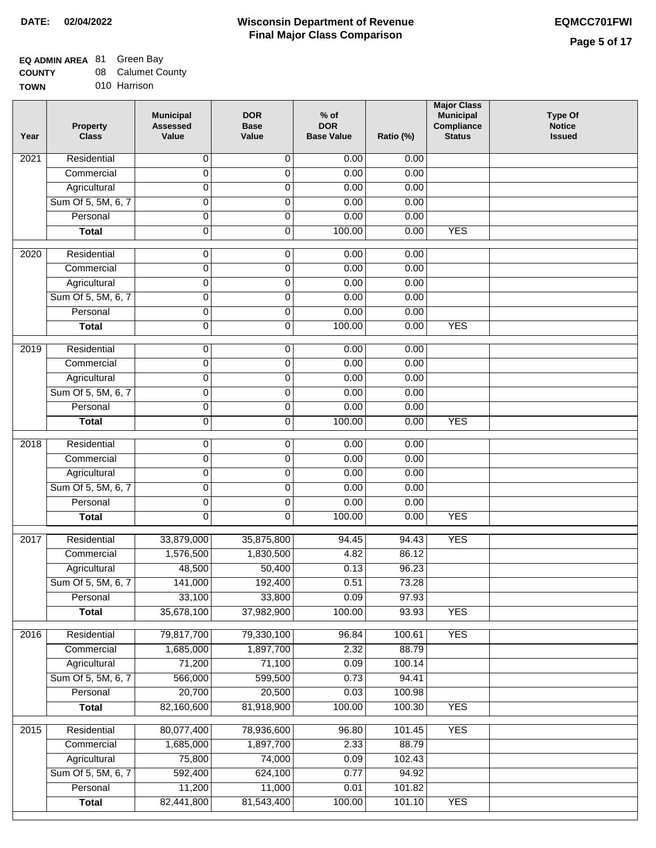# **EQ ADMIN AREA** 81 Green Bay

| <b>COUNTY</b> | 08 Calumet County |
|---------------|-------------------|
| <b>TOWN</b>   | 010 Harrison      |

| Year             | <b>Property</b><br><b>Class</b> | <b>Municipal</b><br><b>Assessed</b><br>Value | <b>DOR</b><br><b>Base</b><br>Value | $%$ of<br><b>DOR</b><br><b>Base Value</b> | Ratio (%) | <b>Major Class</b><br><b>Municipal</b><br>Compliance<br><b>Status</b> | <b>Type Of</b><br><b>Notice</b><br><b>Issued</b> |
|------------------|---------------------------------|----------------------------------------------|------------------------------------|-------------------------------------------|-----------|-----------------------------------------------------------------------|--------------------------------------------------|
| 2021             | Residential                     | 0                                            | 0                                  | 0.00                                      | 0.00      |                                                                       |                                                  |
|                  | Commercial                      | 0                                            | 0                                  | 0.00                                      | 0.00      |                                                                       |                                                  |
|                  | Agricultural                    | 0                                            | 0                                  | 0.00                                      | 0.00      |                                                                       |                                                  |
|                  | Sum Of 5, 5M, 6, 7              | $\overline{0}$                               | 0                                  | 0.00                                      | 0.00      |                                                                       |                                                  |
|                  | Personal                        | 0                                            | 0                                  | 0.00                                      | 0.00      |                                                                       |                                                  |
|                  | <b>Total</b>                    | 0                                            | 0                                  | 100.00                                    | 0.00      | <b>YES</b>                                                            |                                                  |
| $\frac{1}{2020}$ | Residential                     | 0                                            | 0                                  | 0.00                                      | 0.00      |                                                                       |                                                  |
|                  | Commercial                      | $\overline{0}$                               | $\overline{0}$                     | 0.00                                      | 0.00      |                                                                       |                                                  |
|                  | Agricultural                    | 0                                            | 0                                  | 0.00                                      | 0.00      |                                                                       |                                                  |
|                  | Sum Of 5, 5M, 6, 7              | $\overline{0}$                               | $\overline{0}$                     | 0.00                                      | 0.00      |                                                                       |                                                  |
|                  | Personal                        | 0                                            | 0                                  | 0.00                                      | 0.00      |                                                                       |                                                  |
|                  | <b>Total</b>                    | $\overline{0}$                               | $\overline{0}$                     | 100.00                                    | 0.00      | <b>YES</b>                                                            |                                                  |
|                  |                                 |                                              |                                    |                                           |           |                                                                       |                                                  |
| $\frac{1}{2019}$ | Residential                     | 0                                            | $\overline{0}$                     | 0.00                                      | 0.00      |                                                                       |                                                  |
|                  | Commercial                      | 0                                            | 0                                  | 0.00                                      | 0.00      |                                                                       |                                                  |
|                  | Agricultural                    | 0                                            | $\overline{0}$                     | 0.00                                      | 0.00      |                                                                       |                                                  |
|                  | Sum Of 5, 5M, 6, 7              | 0                                            | 0                                  | 0.00                                      | 0.00      |                                                                       |                                                  |
|                  | Personal                        | $\overline{0}$                               | $\overline{0}$                     | 0.00                                      | 0.00      |                                                                       |                                                  |
|                  | <b>Total</b>                    | 0                                            | 0                                  | 100.00                                    | 0.00      | <b>YES</b>                                                            |                                                  |
| 2018             | Residential                     | 0                                            | 0                                  | 0.00                                      | 0.00      |                                                                       |                                                  |
|                  | Commercial                      | 0                                            | 0                                  | 0.00                                      | 0.00      |                                                                       |                                                  |
|                  | Agricultural                    | 0                                            | 0                                  | 0.00                                      | 0.00      |                                                                       |                                                  |
|                  | Sum Of 5, 5M, 6, 7              | 0                                            | 0                                  | 0.00                                      | 0.00      |                                                                       |                                                  |
|                  | Personal                        | 0                                            | 0                                  | 0.00                                      | 0.00      |                                                                       |                                                  |
|                  | <b>Total</b>                    | 0                                            | $\mathbf 0$                        | 100.00                                    | 0.00      | <b>YES</b>                                                            |                                                  |
| 2017             | Residential                     | 33,879,000                                   | 35,875,800                         | 94.45                                     | 94.43     | <b>YES</b>                                                            |                                                  |
|                  | Commercial                      | 1,576,500                                    | 1,830,500                          | 4.82                                      | 86.12     |                                                                       |                                                  |
|                  | Agricultural                    | 48,500                                       | 50,400                             | 0.13                                      | 96.23     |                                                                       |                                                  |
|                  | Sum Of 5, 5M, 6, 7              | 141,000                                      | 192,400                            | 0.51                                      | 73.28     |                                                                       |                                                  |
|                  | Personal                        | 33,100                                       | 33,800                             | 0.09                                      | 97.93     |                                                                       |                                                  |
|                  | <b>Total</b>                    | 35,678,100                                   | 37,982,900                         | 100.00                                    | 93.93     | <b>YES</b>                                                            |                                                  |
| 2016             | Residential                     | 79,817,700                                   | 79,330,100                         | 96.84                                     | 100.61    | <b>YES</b>                                                            |                                                  |
|                  | Commercial                      | 1,685,000                                    | 1,897,700                          | 2.32                                      | 88.79     |                                                                       |                                                  |
|                  | Agricultural                    | 71,200                                       | 71,100                             | 0.09                                      | 100.14    |                                                                       |                                                  |
|                  | Sum Of 5, 5M, 6, 7              | 566,000                                      | 599,500                            | 0.73                                      | 94.41     |                                                                       |                                                  |
|                  | Personal                        | 20,700                                       | 20,500                             | 0.03                                      | 100.98    |                                                                       |                                                  |
|                  | <b>Total</b>                    | 82,160,600                                   | 81,918,900                         | 100.00                                    | 100.30    | <b>YES</b>                                                            |                                                  |
| 2015             | Residential                     | 80,077,400                                   | 78,936,600                         | 96.80                                     | 101.45    | <b>YES</b>                                                            |                                                  |
|                  | Commercial                      | 1,685,000                                    | 1,897,700                          | 2.33                                      | 88.79     |                                                                       |                                                  |
|                  | Agricultural                    | 75,800                                       | 74,000                             | 0.09                                      | 102.43    |                                                                       |                                                  |
|                  | Sum Of 5, 5M, 6, 7              | 592,400                                      | 624,100                            | 0.77                                      | 94.92     |                                                                       |                                                  |
|                  | Personal                        | 11,200                                       | 11,000                             | 0.01                                      | 101.82    |                                                                       |                                                  |
|                  | <b>Total</b>                    | 82,441,800                                   | 81,543,400                         | 100.00                                    | 101.10    | <b>YES</b>                                                            |                                                  |
|                  |                                 |                                              |                                    |                                           |           |                                                                       |                                                  |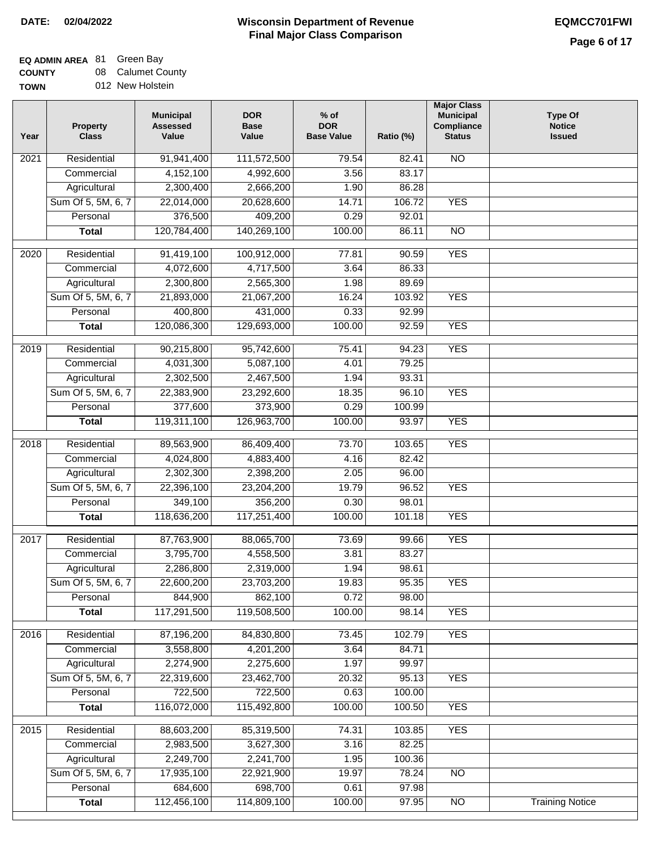### **Wisconsin Department of Revenue Final Major Class Comparison DATE: 02/04/2022 EQMCC701FWI**

# **EQ ADMIN AREA** 81 Green Bay

**COUNTY** TO<sub>v</sub> 08 Calumet County

| 012 New Holstein<br>WN |  |
|------------------------|--|
|------------------------|--|

| Year              | <b>Property</b><br><b>Class</b> | <b>Municipal</b><br><b>Assessed</b><br>Value | <b>DOR</b><br><b>Base</b><br>Value | $%$ of<br><b>DOR</b><br><b>Base Value</b> | Ratio (%) | <b>Major Class</b><br><b>Municipal</b><br>Compliance<br><b>Status</b> | <b>Type Of</b><br><b>Notice</b><br><b>Issued</b> |
|-------------------|---------------------------------|----------------------------------------------|------------------------------------|-------------------------------------------|-----------|-----------------------------------------------------------------------|--------------------------------------------------|
| 2021              | Residential                     | 91,941,400                                   | 111,572,500                        | 79.54                                     | 82.41     | <b>NO</b>                                                             |                                                  |
|                   | Commercial                      | 4,152,100                                    | 4,992,600                          | 3.56                                      | 83.17     |                                                                       |                                                  |
|                   | Agricultural                    | 2,300,400                                    | 2,666,200                          | 1.90                                      | 86.28     |                                                                       |                                                  |
|                   | Sum Of 5, 5M, 6, 7              | 22,014,000                                   | 20,628,600                         | 14.71                                     | 106.72    | <b>YES</b>                                                            |                                                  |
|                   | Personal                        | 376,500                                      | 409,200                            | 0.29                                      | 92.01     |                                                                       |                                                  |
|                   | <b>Total</b>                    | 120,784,400                                  | 140,269,100                        | 100.00                                    | 86.11     | $\overline{NO}$                                                       |                                                  |
| $\overline{2020}$ | Residential                     | 91,419,100                                   | 100,912,000                        | 77.81                                     | 90.59     | <b>YES</b>                                                            |                                                  |
|                   | Commercial                      | 4,072,600                                    | 4,717,500                          | 3.64                                      | 86.33     |                                                                       |                                                  |
|                   | Agricultural                    | 2,300,800                                    | 2,565,300                          | 1.98                                      | 89.69     |                                                                       |                                                  |
|                   | Sum Of 5, 5M, 6, 7              | 21,893,000                                   | 21,067,200                         | 16.24                                     | 103.92    | <b>YES</b>                                                            |                                                  |
|                   | Personal                        | 400,800                                      | 431,000                            | 0.33                                      | 92.99     |                                                                       |                                                  |
|                   | <b>Total</b>                    | 120,086,300                                  | 129,693,000                        | 100.00                                    | 92.59     | <b>YES</b>                                                            |                                                  |
| $\frac{1}{2019}$  | Residential                     | 90,215,800                                   | 95,742,600                         | 75.41                                     | 94.23     | <b>YES</b>                                                            |                                                  |
|                   | Commercial                      | 4,031,300                                    | 5,087,100                          | 4.01                                      | 79.25     |                                                                       |                                                  |
|                   | Agricultural                    | 2,302,500                                    | 2,467,500                          | 1.94                                      | 93.31     |                                                                       |                                                  |
|                   | Sum Of 5, 5M, 6, 7              | 22,383,900                                   | 23,292,600                         | 18.35                                     | 96.10     | <b>YES</b>                                                            |                                                  |
|                   | Personal                        | 377,600                                      | 373,900                            | 0.29                                      | 100.99    |                                                                       |                                                  |
|                   | <b>Total</b>                    | 119,311,100                                  | 126,963,700                        | 100.00                                    | 93.97     | <b>YES</b>                                                            |                                                  |
|                   |                                 |                                              |                                    |                                           |           |                                                                       |                                                  |
| 2018              | Residential                     | 89,563,900                                   | 86,409,400                         | 73.70                                     | 103.65    | <b>YES</b>                                                            |                                                  |
|                   | Commercial                      | 4,024,800                                    | 4,883,400                          | 4.16                                      | 82.42     |                                                                       |                                                  |
|                   | Agricultural                    | 2,302,300                                    | 2,398,200                          | 2.05                                      | 96.00     |                                                                       |                                                  |
|                   | Sum Of 5, 5M, 6, 7              | 22,396,100                                   | 23,204,200                         | 19.79                                     | 96.52     | <b>YES</b>                                                            |                                                  |
|                   | Personal                        | 349,100                                      | 356,200                            | 0.30                                      | 98.01     |                                                                       |                                                  |
|                   | <b>Total</b>                    | 118,636,200                                  | 117,251,400                        | 100.00                                    | 101.18    | <b>YES</b>                                                            |                                                  |
| 2017              | Residential                     | 87,763,900                                   | 88,065,700                         | 73.69                                     | 99.66     | <b>YES</b>                                                            |                                                  |
|                   | Commercial                      | 3,795,700                                    | 4,558,500                          | 3.81                                      | 83.27     |                                                                       |                                                  |
|                   | Agricultural                    | 2,286,800                                    | 2,319,000                          | 1.94                                      | 98.61     |                                                                       |                                                  |
|                   | Sum Of 5, 5M, 6, 7              | 22,600,200                                   | 23,703,200                         | 19.83                                     | 95.35     | <b>YES</b>                                                            |                                                  |
|                   | Personal                        | 844,900                                      | 862,100                            | 0.72                                      | 98.00     |                                                                       |                                                  |
|                   | <b>Total</b>                    | 117,291,500                                  | 119,508,500                        | 100.00                                    | 98.14     | <b>YES</b>                                                            |                                                  |
| 2016              | Residential                     | 87,196,200                                   | 84,830,800                         | 73.45                                     | 102.79    | <b>YES</b>                                                            |                                                  |
|                   | Commercial                      | 3,558,800                                    | 4,201,200                          | 3.64                                      | 84.71     |                                                                       |                                                  |
|                   | Agricultural                    | 2,274,900                                    | 2,275,600                          | 1.97                                      | 99.97     |                                                                       |                                                  |
|                   | Sum Of 5, 5M, 6, 7              | 22,319,600                                   | 23,462,700                         | 20.32                                     | 95.13     | <b>YES</b>                                                            |                                                  |
|                   | Personal                        | 722,500                                      | 722,500                            | 0.63                                      | 100.00    |                                                                       |                                                  |
|                   | <b>Total</b>                    | 116,072,000                                  | 115,492,800                        | 100.00                                    | 100.50    | <b>YES</b>                                                            |                                                  |
| 2015              | Residential                     | 88,603,200                                   | 85,319,500                         | 74.31                                     | 103.85    | <b>YES</b>                                                            |                                                  |
|                   | Commercial                      | 2,983,500                                    | 3,627,300                          | 3.16                                      | 82.25     |                                                                       |                                                  |
|                   | Agricultural                    | 2,249,700                                    | 2,241,700                          | 1.95                                      | 100.36    |                                                                       |                                                  |
|                   | Sum Of 5, 5M, 6, 7              | 17,935,100                                   | 22,921,900                         | 19.97                                     | 78.24     | NO                                                                    |                                                  |
|                   | Personal                        | 684,600                                      | 698,700                            | 0.61                                      | 97.98     |                                                                       |                                                  |
|                   | <b>Total</b>                    | 112,456,100                                  | 114,809,100                        | 100.00                                    | 97.95     | $\overline{NO}$                                                       | <b>Training Notice</b>                           |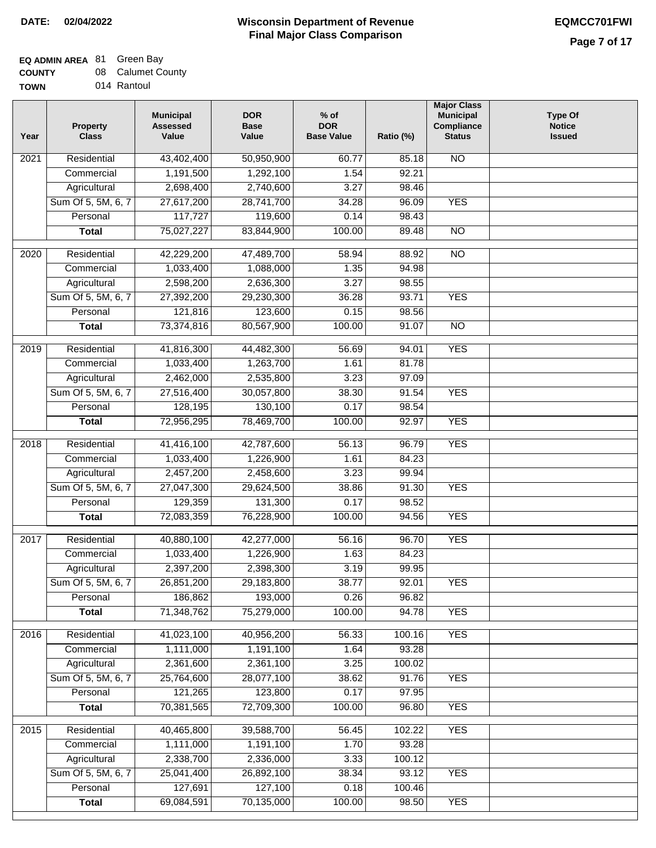## **EQ ADMIN AREA** 81 Green Bay

| <b>COUNTY</b> |  | 08 Calumet County |
|---------------|--|-------------------|
|---------------|--|-------------------|

**TOWN** 014 Rantoul

| Year              | <b>Property</b><br><b>Class</b> | <b>Municipal</b><br><b>Assessed</b><br>Value | <b>DOR</b><br><b>Base</b><br>Value | % of<br><b>DOR</b><br><b>Base Value</b> | Ratio (%) | <b>Major Class</b><br><b>Municipal</b><br>Compliance<br><b>Status</b> | <b>Type Of</b><br><b>Notice</b><br><b>Issued</b> |
|-------------------|---------------------------------|----------------------------------------------|------------------------------------|-----------------------------------------|-----------|-----------------------------------------------------------------------|--------------------------------------------------|
| $\overline{202}1$ | Residential                     | 43,402,400                                   | 50,950,900                         | 60.77                                   | 85.18     | <b>NO</b>                                                             |                                                  |
|                   | Commercial                      | 1,191,500                                    | 1,292,100                          | 1.54                                    | 92.21     |                                                                       |                                                  |
|                   | Agricultural                    | 2,698,400                                    | 2,740,600                          | 3.27                                    | 98.46     |                                                                       |                                                  |
|                   | Sum Of 5, 5M, 6, 7              | 27,617,200                                   | 28,741,700                         | 34.28                                   | 96.09     | <b>YES</b>                                                            |                                                  |
|                   | Personal                        | 117,727                                      | 119,600                            | 0.14                                    | 98.43     |                                                                       |                                                  |
|                   | <b>Total</b>                    | 75,027,227                                   | 83,844,900                         | 100.00                                  | 89.48     | $\overline{NO}$                                                       |                                                  |
| $\overline{2020}$ | Residential                     | 42,229,200                                   | 47,489,700                         | 58.94                                   | 88.92     | $\overline{N}$                                                        |                                                  |
|                   | Commercial                      | 1,033,400                                    | 1,088,000                          | 1.35                                    | 94.98     |                                                                       |                                                  |
|                   | Agricultural                    | 2,598,200                                    | 2,636,300                          | 3.27                                    | 98.55     |                                                                       |                                                  |
|                   | Sum Of 5, 5M, 6, 7              | 27,392,200                                   | 29,230,300                         | 36.28                                   | 93.71     | <b>YES</b>                                                            |                                                  |
|                   | Personal                        | 121,816                                      | 123,600                            | 0.15                                    | 98.56     |                                                                       |                                                  |
|                   | <b>Total</b>                    | 73,374,816                                   | 80,567,900                         | 100.00                                  | 91.07     | $\overline{NO}$                                                       |                                                  |
| 2019              | Residential                     | 41,816,300                                   | 44,482,300                         | 56.69                                   | 94.01     | <b>YES</b>                                                            |                                                  |
|                   | Commercial                      | 1,033,400                                    | 1,263,700                          | 1.61                                    | 81.78     |                                                                       |                                                  |
|                   | Agricultural                    | 2,462,000                                    | 2,535,800                          | 3.23                                    | 97.09     |                                                                       |                                                  |
|                   | Sum Of 5, 5M, 6, 7              | 27,516,400                                   | 30,057,800                         | 38.30                                   | 91.54     | <b>YES</b>                                                            |                                                  |
|                   | Personal                        | 128,195                                      | 130,100                            | 0.17                                    | 98.54     |                                                                       |                                                  |
|                   | <b>Total</b>                    | 72,956,295                                   | 78,469,700                         | 100.00                                  | 92.97     | <b>YES</b>                                                            |                                                  |
| 2018              | Residential                     | 41,416,100                                   | 42,787,600                         | 56.13                                   | 96.79     | <b>YES</b>                                                            |                                                  |
|                   | Commercial                      | 1,033,400                                    | 1,226,900                          | 1.61                                    | 84.23     |                                                                       |                                                  |
|                   | Agricultural                    | 2,457,200                                    | 2,458,600                          | 3.23                                    | 99.94     |                                                                       |                                                  |
|                   | Sum Of 5, 5M, 6, 7              | 27,047,300                                   | 29,624,500                         | 38.86                                   | 91.30     | <b>YES</b>                                                            |                                                  |
|                   | Personal                        | 129,359                                      | 131,300                            | 0.17                                    | 98.52     |                                                                       |                                                  |
|                   | <b>Total</b>                    | 72,083,359                                   | 76,228,900                         | 100.00                                  | 94.56     | <b>YES</b>                                                            |                                                  |
| $\overline{2017}$ | Residential                     | 40,880,100                                   | 42,277,000                         | 56.16                                   | 96.70     | <b>YES</b>                                                            |                                                  |
|                   | Commercial                      | 1,033,400                                    | 1,226,900                          | 1.63                                    | 84.23     |                                                                       |                                                  |
|                   | Agricultural                    | 2,397,200                                    | 2,398,300                          | 3.19                                    | 99.95     |                                                                       |                                                  |
|                   | Sum Of 5, 5M, 6, 7              | 26,851,200                                   | 29,183,800                         | 38.77                                   | 92.01     | <b>YES</b>                                                            |                                                  |
|                   | Personal                        | 186,862                                      | 193,000                            | 0.26                                    | 96.82     |                                                                       |                                                  |
|                   | <b>Total</b>                    | 71,348,762                                   | 75,279,000                         | 100.00                                  | 94.78     | <b>YES</b>                                                            |                                                  |
| 2016              | Residential                     | 41,023,100                                   | 40,956,200                         | 56.33                                   | 100.16    | <b>YES</b>                                                            |                                                  |
|                   | Commercial                      | 1,111,000                                    | 1,191,100                          | 1.64                                    | 93.28     |                                                                       |                                                  |
|                   | Agricultural                    | 2,361,600                                    | 2,361,100                          | 3.25                                    | 100.02    |                                                                       |                                                  |
|                   | Sum Of 5, 5M, 6, 7              | 25,764,600                                   | 28,077,100                         | 38.62                                   | 91.76     | <b>YES</b>                                                            |                                                  |
|                   | Personal                        | 121,265                                      | 123,800                            | 0.17                                    | 97.95     |                                                                       |                                                  |
|                   | <b>Total</b>                    | 70,381,565                                   | 72,709,300                         | 100.00                                  | 96.80     | <b>YES</b>                                                            |                                                  |
| 2015              | Residential                     | 40,465,800                                   | 39,588,700                         | 56.45                                   | 102.22    | <b>YES</b>                                                            |                                                  |
|                   | Commercial                      | 1,111,000                                    | 1,191,100                          | 1.70                                    | 93.28     |                                                                       |                                                  |
|                   | Agricultural                    | 2,338,700                                    | 2,336,000                          | 3.33                                    | 100.12    |                                                                       |                                                  |
|                   | Sum Of 5, 5M, 6, 7              | 25,041,400                                   | 26,892,100                         | 38.34                                   | 93.12     | <b>YES</b>                                                            |                                                  |
|                   | Personal                        | 127,691                                      | 127,100                            | 0.18                                    | 100.46    |                                                                       |                                                  |
|                   | <b>Total</b>                    | 69,084,591                                   | 70,135,000                         | 100.00                                  | 98.50     | <b>YES</b>                                                            |                                                  |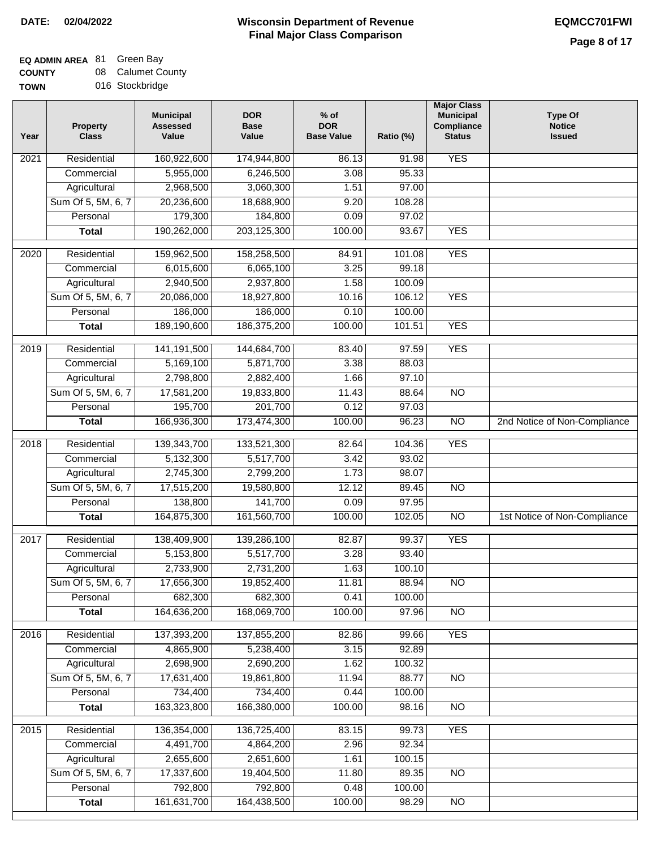# **EQ ADMIN AREA** 81 Green Bay

**COUNTY TOWN** 08 Calumet County 016 Stockbridge

| Year             | <b>Property</b><br><b>Class</b> | <b>Municipal</b><br><b>Assessed</b><br>Value | <b>DOR</b><br><b>Base</b><br>Value | $%$ of<br><b>DOR</b><br><b>Base Value</b> | Ratio (%) | <b>Major Class</b><br><b>Municipal</b><br><b>Compliance</b><br><b>Status</b> | <b>Type Of</b><br><b>Notice</b><br><b>Issued</b> |
|------------------|---------------------------------|----------------------------------------------|------------------------------------|-------------------------------------------|-----------|------------------------------------------------------------------------------|--------------------------------------------------|
| 2021             | Residential                     | 160,922,600                                  | 174,944,800                        | 86.13                                     | 91.98     | <b>YES</b>                                                                   |                                                  |
|                  | Commercial                      | 5,955,000                                    | 6,246,500                          | 3.08                                      | 95.33     |                                                                              |                                                  |
|                  | Agricultural                    | 2,968,500                                    | 3,060,300                          | 1.51                                      | 97.00     |                                                                              |                                                  |
|                  | Sum Of 5, 5M, 6, 7              | 20,236,600                                   | 18,688,900                         | 9.20                                      | 108.28    |                                                                              |                                                  |
|                  | Personal                        | 179,300                                      | 184,800                            | 0.09                                      | 97.02     |                                                                              |                                                  |
|                  | <b>Total</b>                    | 190,262,000                                  | 203,125,300                        | 100.00                                    | 93.67     | <b>YES</b>                                                                   |                                                  |
| 2020             | Residential                     | 159,962,500                                  | 158,258,500                        | 84.91                                     | 101.08    | <b>YES</b>                                                                   |                                                  |
|                  | Commercial                      | 6,015,600                                    | 6,065,100                          | 3.25                                      | 99.18     |                                                                              |                                                  |
|                  | Agricultural                    | 2,940,500                                    | 2,937,800                          | 1.58                                      | 100.09    |                                                                              |                                                  |
|                  | Sum Of 5, 5M, 6, 7              | 20,086,000                                   | 18,927,800                         | 10.16                                     | 106.12    | <b>YES</b>                                                                   |                                                  |
|                  | Personal                        | 186,000                                      | 186,000                            | 0.10                                      | 100.00    |                                                                              |                                                  |
|                  | <b>Total</b>                    | 189,190,600                                  | 186,375,200                        | 100.00                                    | 101.51    | <b>YES</b>                                                                   |                                                  |
| $\frac{1}{2019}$ | Residential                     | 141, 191, 500                                | 144,684,700                        | 83.40                                     | 97.59     | <b>YES</b>                                                                   |                                                  |
|                  | Commercial                      | 5,169,100                                    | 5,871,700                          | 3.38                                      | 88.03     |                                                                              |                                                  |
|                  | Agricultural                    | 2,798,800                                    | 2,882,400                          | 1.66                                      | 97.10     |                                                                              |                                                  |
|                  |                                 |                                              |                                    |                                           |           |                                                                              |                                                  |
|                  | Sum Of 5, 5M, 6, 7              | 17,581,200                                   | 19,833,800                         | 11.43                                     | 88.64     | $\overline{NO}$                                                              |                                                  |
|                  | Personal                        | 195,700                                      | 201,700                            | 0.12                                      | 97.03     |                                                                              |                                                  |
|                  | <b>Total</b>                    | 166,936,300                                  | 173,474,300                        | 100.00                                    | 96.23     | $\overline{NO}$                                                              | 2nd Notice of Non-Compliance                     |
| 2018             | Residential                     | 139,343,700                                  | 133,521,300                        | 82.64                                     | 104.36    | <b>YES</b>                                                                   |                                                  |
|                  | Commercial                      | 5,132,300                                    | 5,517,700                          | 3.42                                      | 93.02     |                                                                              |                                                  |
|                  | Agricultural                    | 2,745,300                                    | 2,799,200                          | 1.73                                      | 98.07     |                                                                              |                                                  |
|                  | Sum Of 5, 5M, 6, 7              | 17,515,200                                   | 19,580,800                         | 12.12                                     | 89.45     | <b>NO</b>                                                                    |                                                  |
|                  | Personal                        | 138,800                                      | 141,700                            | 0.09                                      | 97.95     |                                                                              |                                                  |
|                  | <b>Total</b>                    | 164,875,300                                  | 161,560,700                        | 100.00                                    | 102.05    | <b>NO</b>                                                                    | 1st Notice of Non-Compliance                     |
| 2017             | Residential                     | 138,409,900                                  | 139,286,100                        | 82.87                                     | 99.37     | <b>YES</b>                                                                   |                                                  |
|                  | Commercial                      | 5,153,800                                    | 5,517,700                          | 3.28                                      | 93.40     |                                                                              |                                                  |
|                  | Agricultural                    | 2,733,900                                    | 2,731,200                          | 1.63                                      | 100.10    |                                                                              |                                                  |
|                  | Sum Of 5, 5M, 6, 7              | 17,656,300                                   | 19,852,400                         | 11.81                                     | 88.94     | <b>NO</b>                                                                    |                                                  |
|                  | Personal                        | 682,300                                      | 682,300                            | 0.41                                      | 100.00    |                                                                              |                                                  |
|                  | <b>Total</b>                    | 164,636,200                                  | 168,069,700                        | 100.00                                    | 97.96     | $\overline{NO}$                                                              |                                                  |
| 2016             | Residential                     | 137,393,200                                  | 137,855,200                        | 82.86                                     | 99.66     | <b>YES</b>                                                                   |                                                  |
|                  | Commercial                      | 4,865,900                                    | 5,238,400                          | 3.15                                      | 92.89     |                                                                              |                                                  |
|                  | Agricultural                    | 2,698,900                                    | 2,690,200                          | 1.62                                      | 100.32    |                                                                              |                                                  |
|                  | Sum Of 5, 5M, 6, 7              | 17,631,400                                   | 19,861,800                         | 11.94                                     | 88.77     | N <sub>O</sub>                                                               |                                                  |
|                  | Personal                        | 734,400                                      | 734,400                            | 0.44                                      | 100.00    |                                                                              |                                                  |
|                  | <b>Total</b>                    | 163,323,800                                  | 166,380,000                        | 100.00                                    | 98.16     | N <sub>O</sub>                                                               |                                                  |
| 2015             | Residential                     | 136,354,000                                  | 136,725,400                        | 83.15                                     | 99.73     | <b>YES</b>                                                                   |                                                  |
|                  | Commercial                      | 4,491,700                                    | 4,864,200                          | 2.96                                      | 92.34     |                                                                              |                                                  |
|                  | Agricultural                    | 2,655,600                                    | 2,651,600                          | 1.61                                      | 100.15    |                                                                              |                                                  |
|                  | Sum Of 5, 5M, 6, 7              | 17,337,600                                   | 19,404,500                         | 11.80                                     | 89.35     | NO                                                                           |                                                  |
|                  | Personal                        | 792,800                                      | 792,800                            | 0.48                                      | 100.00    |                                                                              |                                                  |
|                  | <b>Total</b>                    | 161,631,700                                  | 164,438,500                        | 100.00                                    | 98.29     | $\overline{NO}$                                                              |                                                  |
|                  |                                 |                                              |                                    |                                           |           |                                                                              |                                                  |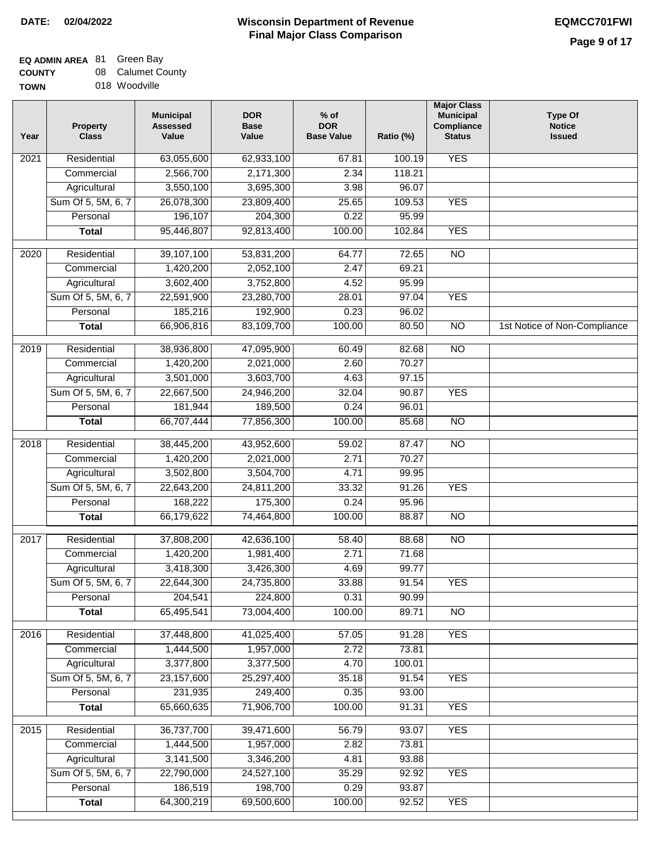# **EQ ADMIN AREA** 81 Green Bay

**COUNTY TOWN** 08 Calumet County

| ື | vuunivu       |
|---|---------------|
|   | 018 Woodville |

| <b>YES</b><br>Residential<br>63,055,600<br>62,933,100<br>67.81<br>100.19<br>2021<br>2,566,700<br>2,171,300<br>2.34<br>118.21<br>Commercial<br>3,550,100<br>3,695,300<br>3.98<br>96.07<br>Agricultural<br>Sum Of 5, 5M, 6, 7<br>26,078,300<br>23,809,400<br>25.65<br>109.53<br><b>YES</b><br>Personal<br>196,107<br>204,300<br>0.22<br>95.99<br>92,813,400<br>100.00<br>102.84<br><b>YES</b><br>95,446,807<br><b>Total</b><br>$\overline{2020}$<br>Residential<br>39,107,100<br>53,831,200<br>72.65<br>$\overline{NO}$<br>64.77<br>69.21<br>Commercial<br>1,420,200<br>2,052,100<br>2.47<br>3,602,400<br>3,752,800<br>4.52<br>95.99<br>Agricultural<br>Sum Of 5, 5M, 6, 7<br>23,280,700<br>97.04<br><b>YES</b><br>22,591,900<br>28.01<br>192,900<br>Personal<br>185,216<br>0.23<br>96.02<br>83,109,700<br>$\overline{NO}$<br><b>Total</b><br>66,906,816<br>100.00<br>80.50<br>1st Notice of Non-Compliance<br>$\overline{NO}$<br>$\frac{2019}{ }$<br>Residential<br>47,095,900<br>38,936,800<br>60.49<br>82.68<br>2.60<br>70.27<br>Commercial<br>1,420,200<br>2,021,000<br>3,501,000<br>3,603,700<br>97.15<br>Agricultural<br>4.63<br>Sum Of 5, 5M, 6, 7<br>24,946,200<br>32.04<br><b>YES</b><br>22,667,500<br>90.87<br>0.24<br>Personal<br>181,944<br>189,500<br>96.01<br>66,707,444<br>77,856,300<br>100.00<br>85.68<br>$\overline{NO}$<br><b>Total</b><br>$\overline{NO}$<br>Residential<br>38,445,200<br>43,952,600<br>59.02<br>87.47<br>2018<br>2.71<br>Commercial<br>1,420,200<br>2,021,000<br>70.27<br>Agricultural<br>3,502,800<br>3,504,700<br>4.71<br>99.95<br>Sum Of 5, 5M, 6, 7<br>33.32<br>91.26<br><b>YES</b><br>22,643,200<br>24,811,200<br>Personal<br>168,222<br>175,300<br>0.24<br>95.96<br>66,179,622<br>74,464,800<br>100.00<br>88.87<br>N <sub>O</sub><br><b>Total</b><br>Residential<br>37,808,200<br>42,636,100<br>58.40<br>88.68<br>$\overline{NO}$<br>2017<br>2.71<br>1,420,200<br>1,981,400<br>71.68<br>Commercial<br>99.77<br>3,418,300<br>3,426,300<br>4.69<br>Agricultural<br>Sum Of 5, 5M, 6, 7<br>22,644,300<br>24,735,800<br>33.88<br>91.54<br><b>YES</b><br>Personal<br>204,541<br>224,800<br>0.31<br>90.99<br>NO<br>65,495,541<br>73,004,400<br>100.00<br>89.71<br><b>Total</b><br><b>YES</b><br>2016<br>Residential<br>41,025,400<br>57.05<br>91.28<br>37,448,800<br>2.72<br>Commercial<br>1,444,500<br>1,957,000<br>73.81<br>3,377,800<br>3,377,500<br>4.70<br>Agricultural<br>100.01<br>Sum Of 5, 5M, 6, 7<br>23,157,600<br>25,297,400<br>35.18<br>91.54<br><b>YES</b><br>249,400<br>Personal<br>231,935<br>0.35<br>93.00<br>65,660,635<br>71,906,700<br>100.00<br>91.31<br><b>YES</b><br><b>Total</b><br>36,737,700<br><b>YES</b><br>2015<br>Residential<br>39,471,600<br>56.79<br>93.07<br>1,957,000<br>2.82<br>73.81<br>Commercial<br>1,444,500<br>Agricultural<br>3,141,500<br>3,346,200<br>4.81<br>93.88<br>Sum Of 5, 5M, 6, 7<br>22,790,000<br>24,527,100<br>35.29<br>92.92<br><b>YES</b><br>Personal<br>186,519<br>198,700<br>0.29<br>93.87 | Year | <b>Property</b><br><b>Class</b> | <b>Municipal</b><br><b>Assessed</b><br>Value | <b>DOR</b><br><b>Base</b><br>Value | $%$ of<br><b>DOR</b><br><b>Base Value</b> | Ratio (%) | <b>Major Class</b><br><b>Municipal</b><br>Compliance<br><b>Status</b> | <b>Type Of</b><br><b>Notice</b><br><b>Issued</b> |
|----------------------------------------------------------------------------------------------------------------------------------------------------------------------------------------------------------------------------------------------------------------------------------------------------------------------------------------------------------------------------------------------------------------------------------------------------------------------------------------------------------------------------------------------------------------------------------------------------------------------------------------------------------------------------------------------------------------------------------------------------------------------------------------------------------------------------------------------------------------------------------------------------------------------------------------------------------------------------------------------------------------------------------------------------------------------------------------------------------------------------------------------------------------------------------------------------------------------------------------------------------------------------------------------------------------------------------------------------------------------------------------------------------------------------------------------------------------------------------------------------------------------------------------------------------------------------------------------------------------------------------------------------------------------------------------------------------------------------------------------------------------------------------------------------------------------------------------------------------------------------------------------------------------------------------------------------------------------------------------------------------------------------------------------------------------------------------------------------------------------------------------------------------------------------------------------------------------------------------------------------------------------------------------------------------------------------------------------------------------------------------------------------------------------------------------------------------------------------------------------------------------------------------------------------------------------------------------------------------------------------------------------------------------------------------------------------------------------------------------------------------------------------------------------------------------------------------------------------------------------------------------------------------------------------------------------------------------------------------------|------|---------------------------------|----------------------------------------------|------------------------------------|-------------------------------------------|-----------|-----------------------------------------------------------------------|--------------------------------------------------|
|                                                                                                                                                                                                                                                                                                                                                                                                                                                                                                                                                                                                                                                                                                                                                                                                                                                                                                                                                                                                                                                                                                                                                                                                                                                                                                                                                                                                                                                                                                                                                                                                                                                                                                                                                                                                                                                                                                                                                                                                                                                                                                                                                                                                                                                                                                                                                                                                                                                                                                                                                                                                                                                                                                                                                                                                                                                                                                                                                                                        |      |                                 |                                              |                                    |                                           |           |                                                                       |                                                  |
|                                                                                                                                                                                                                                                                                                                                                                                                                                                                                                                                                                                                                                                                                                                                                                                                                                                                                                                                                                                                                                                                                                                                                                                                                                                                                                                                                                                                                                                                                                                                                                                                                                                                                                                                                                                                                                                                                                                                                                                                                                                                                                                                                                                                                                                                                                                                                                                                                                                                                                                                                                                                                                                                                                                                                                                                                                                                                                                                                                                        |      |                                 |                                              |                                    |                                           |           |                                                                       |                                                  |
|                                                                                                                                                                                                                                                                                                                                                                                                                                                                                                                                                                                                                                                                                                                                                                                                                                                                                                                                                                                                                                                                                                                                                                                                                                                                                                                                                                                                                                                                                                                                                                                                                                                                                                                                                                                                                                                                                                                                                                                                                                                                                                                                                                                                                                                                                                                                                                                                                                                                                                                                                                                                                                                                                                                                                                                                                                                                                                                                                                                        |      |                                 |                                              |                                    |                                           |           |                                                                       |                                                  |
|                                                                                                                                                                                                                                                                                                                                                                                                                                                                                                                                                                                                                                                                                                                                                                                                                                                                                                                                                                                                                                                                                                                                                                                                                                                                                                                                                                                                                                                                                                                                                                                                                                                                                                                                                                                                                                                                                                                                                                                                                                                                                                                                                                                                                                                                                                                                                                                                                                                                                                                                                                                                                                                                                                                                                                                                                                                                                                                                                                                        |      |                                 |                                              |                                    |                                           |           |                                                                       |                                                  |
|                                                                                                                                                                                                                                                                                                                                                                                                                                                                                                                                                                                                                                                                                                                                                                                                                                                                                                                                                                                                                                                                                                                                                                                                                                                                                                                                                                                                                                                                                                                                                                                                                                                                                                                                                                                                                                                                                                                                                                                                                                                                                                                                                                                                                                                                                                                                                                                                                                                                                                                                                                                                                                                                                                                                                                                                                                                                                                                                                                                        |      |                                 |                                              |                                    |                                           |           |                                                                       |                                                  |
|                                                                                                                                                                                                                                                                                                                                                                                                                                                                                                                                                                                                                                                                                                                                                                                                                                                                                                                                                                                                                                                                                                                                                                                                                                                                                                                                                                                                                                                                                                                                                                                                                                                                                                                                                                                                                                                                                                                                                                                                                                                                                                                                                                                                                                                                                                                                                                                                                                                                                                                                                                                                                                                                                                                                                                                                                                                                                                                                                                                        |      |                                 |                                              |                                    |                                           |           |                                                                       |                                                  |
|                                                                                                                                                                                                                                                                                                                                                                                                                                                                                                                                                                                                                                                                                                                                                                                                                                                                                                                                                                                                                                                                                                                                                                                                                                                                                                                                                                                                                                                                                                                                                                                                                                                                                                                                                                                                                                                                                                                                                                                                                                                                                                                                                                                                                                                                                                                                                                                                                                                                                                                                                                                                                                                                                                                                                                                                                                                                                                                                                                                        |      |                                 |                                              |                                    |                                           |           |                                                                       |                                                  |
|                                                                                                                                                                                                                                                                                                                                                                                                                                                                                                                                                                                                                                                                                                                                                                                                                                                                                                                                                                                                                                                                                                                                                                                                                                                                                                                                                                                                                                                                                                                                                                                                                                                                                                                                                                                                                                                                                                                                                                                                                                                                                                                                                                                                                                                                                                                                                                                                                                                                                                                                                                                                                                                                                                                                                                                                                                                                                                                                                                                        |      |                                 |                                              |                                    |                                           |           |                                                                       |                                                  |
|                                                                                                                                                                                                                                                                                                                                                                                                                                                                                                                                                                                                                                                                                                                                                                                                                                                                                                                                                                                                                                                                                                                                                                                                                                                                                                                                                                                                                                                                                                                                                                                                                                                                                                                                                                                                                                                                                                                                                                                                                                                                                                                                                                                                                                                                                                                                                                                                                                                                                                                                                                                                                                                                                                                                                                                                                                                                                                                                                                                        |      |                                 |                                              |                                    |                                           |           |                                                                       |                                                  |
|                                                                                                                                                                                                                                                                                                                                                                                                                                                                                                                                                                                                                                                                                                                                                                                                                                                                                                                                                                                                                                                                                                                                                                                                                                                                                                                                                                                                                                                                                                                                                                                                                                                                                                                                                                                                                                                                                                                                                                                                                                                                                                                                                                                                                                                                                                                                                                                                                                                                                                                                                                                                                                                                                                                                                                                                                                                                                                                                                                                        |      |                                 |                                              |                                    |                                           |           |                                                                       |                                                  |
|                                                                                                                                                                                                                                                                                                                                                                                                                                                                                                                                                                                                                                                                                                                                                                                                                                                                                                                                                                                                                                                                                                                                                                                                                                                                                                                                                                                                                                                                                                                                                                                                                                                                                                                                                                                                                                                                                                                                                                                                                                                                                                                                                                                                                                                                                                                                                                                                                                                                                                                                                                                                                                                                                                                                                                                                                                                                                                                                                                                        |      |                                 |                                              |                                    |                                           |           |                                                                       |                                                  |
|                                                                                                                                                                                                                                                                                                                                                                                                                                                                                                                                                                                                                                                                                                                                                                                                                                                                                                                                                                                                                                                                                                                                                                                                                                                                                                                                                                                                                                                                                                                                                                                                                                                                                                                                                                                                                                                                                                                                                                                                                                                                                                                                                                                                                                                                                                                                                                                                                                                                                                                                                                                                                                                                                                                                                                                                                                                                                                                                                                                        |      |                                 |                                              |                                    |                                           |           |                                                                       |                                                  |
|                                                                                                                                                                                                                                                                                                                                                                                                                                                                                                                                                                                                                                                                                                                                                                                                                                                                                                                                                                                                                                                                                                                                                                                                                                                                                                                                                                                                                                                                                                                                                                                                                                                                                                                                                                                                                                                                                                                                                                                                                                                                                                                                                                                                                                                                                                                                                                                                                                                                                                                                                                                                                                                                                                                                                                                                                                                                                                                                                                                        |      |                                 |                                              |                                    |                                           |           |                                                                       |                                                  |
|                                                                                                                                                                                                                                                                                                                                                                                                                                                                                                                                                                                                                                                                                                                                                                                                                                                                                                                                                                                                                                                                                                                                                                                                                                                                                                                                                                                                                                                                                                                                                                                                                                                                                                                                                                                                                                                                                                                                                                                                                                                                                                                                                                                                                                                                                                                                                                                                                                                                                                                                                                                                                                                                                                                                                                                                                                                                                                                                                                                        |      |                                 |                                              |                                    |                                           |           |                                                                       |                                                  |
|                                                                                                                                                                                                                                                                                                                                                                                                                                                                                                                                                                                                                                                                                                                                                                                                                                                                                                                                                                                                                                                                                                                                                                                                                                                                                                                                                                                                                                                                                                                                                                                                                                                                                                                                                                                                                                                                                                                                                                                                                                                                                                                                                                                                                                                                                                                                                                                                                                                                                                                                                                                                                                                                                                                                                                                                                                                                                                                                                                                        |      |                                 |                                              |                                    |                                           |           |                                                                       |                                                  |
|                                                                                                                                                                                                                                                                                                                                                                                                                                                                                                                                                                                                                                                                                                                                                                                                                                                                                                                                                                                                                                                                                                                                                                                                                                                                                                                                                                                                                                                                                                                                                                                                                                                                                                                                                                                                                                                                                                                                                                                                                                                                                                                                                                                                                                                                                                                                                                                                                                                                                                                                                                                                                                                                                                                                                                                                                                                                                                                                                                                        |      |                                 |                                              |                                    |                                           |           |                                                                       |                                                  |
|                                                                                                                                                                                                                                                                                                                                                                                                                                                                                                                                                                                                                                                                                                                                                                                                                                                                                                                                                                                                                                                                                                                                                                                                                                                                                                                                                                                                                                                                                                                                                                                                                                                                                                                                                                                                                                                                                                                                                                                                                                                                                                                                                                                                                                                                                                                                                                                                                                                                                                                                                                                                                                                                                                                                                                                                                                                                                                                                                                                        |      |                                 |                                              |                                    |                                           |           |                                                                       |                                                  |
|                                                                                                                                                                                                                                                                                                                                                                                                                                                                                                                                                                                                                                                                                                                                                                                                                                                                                                                                                                                                                                                                                                                                                                                                                                                                                                                                                                                                                                                                                                                                                                                                                                                                                                                                                                                                                                                                                                                                                                                                                                                                                                                                                                                                                                                                                                                                                                                                                                                                                                                                                                                                                                                                                                                                                                                                                                                                                                                                                                                        |      |                                 |                                              |                                    |                                           |           |                                                                       |                                                  |
|                                                                                                                                                                                                                                                                                                                                                                                                                                                                                                                                                                                                                                                                                                                                                                                                                                                                                                                                                                                                                                                                                                                                                                                                                                                                                                                                                                                                                                                                                                                                                                                                                                                                                                                                                                                                                                                                                                                                                                                                                                                                                                                                                                                                                                                                                                                                                                                                                                                                                                                                                                                                                                                                                                                                                                                                                                                                                                                                                                                        |      |                                 |                                              |                                    |                                           |           |                                                                       |                                                  |
|                                                                                                                                                                                                                                                                                                                                                                                                                                                                                                                                                                                                                                                                                                                                                                                                                                                                                                                                                                                                                                                                                                                                                                                                                                                                                                                                                                                                                                                                                                                                                                                                                                                                                                                                                                                                                                                                                                                                                                                                                                                                                                                                                                                                                                                                                                                                                                                                                                                                                                                                                                                                                                                                                                                                                                                                                                                                                                                                                                                        |      |                                 |                                              |                                    |                                           |           |                                                                       |                                                  |
|                                                                                                                                                                                                                                                                                                                                                                                                                                                                                                                                                                                                                                                                                                                                                                                                                                                                                                                                                                                                                                                                                                                                                                                                                                                                                                                                                                                                                                                                                                                                                                                                                                                                                                                                                                                                                                                                                                                                                                                                                                                                                                                                                                                                                                                                                                                                                                                                                                                                                                                                                                                                                                                                                                                                                                                                                                                                                                                                                                                        |      |                                 |                                              |                                    |                                           |           |                                                                       |                                                  |
|                                                                                                                                                                                                                                                                                                                                                                                                                                                                                                                                                                                                                                                                                                                                                                                                                                                                                                                                                                                                                                                                                                                                                                                                                                                                                                                                                                                                                                                                                                                                                                                                                                                                                                                                                                                                                                                                                                                                                                                                                                                                                                                                                                                                                                                                                                                                                                                                                                                                                                                                                                                                                                                                                                                                                                                                                                                                                                                                                                                        |      |                                 |                                              |                                    |                                           |           |                                                                       |                                                  |
|                                                                                                                                                                                                                                                                                                                                                                                                                                                                                                                                                                                                                                                                                                                                                                                                                                                                                                                                                                                                                                                                                                                                                                                                                                                                                                                                                                                                                                                                                                                                                                                                                                                                                                                                                                                                                                                                                                                                                                                                                                                                                                                                                                                                                                                                                                                                                                                                                                                                                                                                                                                                                                                                                                                                                                                                                                                                                                                                                                                        |      |                                 |                                              |                                    |                                           |           |                                                                       |                                                  |
|                                                                                                                                                                                                                                                                                                                                                                                                                                                                                                                                                                                                                                                                                                                                                                                                                                                                                                                                                                                                                                                                                                                                                                                                                                                                                                                                                                                                                                                                                                                                                                                                                                                                                                                                                                                                                                                                                                                                                                                                                                                                                                                                                                                                                                                                                                                                                                                                                                                                                                                                                                                                                                                                                                                                                                                                                                                                                                                                                                                        |      |                                 |                                              |                                    |                                           |           |                                                                       |                                                  |
|                                                                                                                                                                                                                                                                                                                                                                                                                                                                                                                                                                                                                                                                                                                                                                                                                                                                                                                                                                                                                                                                                                                                                                                                                                                                                                                                                                                                                                                                                                                                                                                                                                                                                                                                                                                                                                                                                                                                                                                                                                                                                                                                                                                                                                                                                                                                                                                                                                                                                                                                                                                                                                                                                                                                                                                                                                                                                                                                                                                        |      |                                 |                                              |                                    |                                           |           |                                                                       |                                                  |
|                                                                                                                                                                                                                                                                                                                                                                                                                                                                                                                                                                                                                                                                                                                                                                                                                                                                                                                                                                                                                                                                                                                                                                                                                                                                                                                                                                                                                                                                                                                                                                                                                                                                                                                                                                                                                                                                                                                                                                                                                                                                                                                                                                                                                                                                                                                                                                                                                                                                                                                                                                                                                                                                                                                                                                                                                                                                                                                                                                                        |      |                                 |                                              |                                    |                                           |           |                                                                       |                                                  |
|                                                                                                                                                                                                                                                                                                                                                                                                                                                                                                                                                                                                                                                                                                                                                                                                                                                                                                                                                                                                                                                                                                                                                                                                                                                                                                                                                                                                                                                                                                                                                                                                                                                                                                                                                                                                                                                                                                                                                                                                                                                                                                                                                                                                                                                                                                                                                                                                                                                                                                                                                                                                                                                                                                                                                                                                                                                                                                                                                                                        |      |                                 |                                              |                                    |                                           |           |                                                                       |                                                  |
|                                                                                                                                                                                                                                                                                                                                                                                                                                                                                                                                                                                                                                                                                                                                                                                                                                                                                                                                                                                                                                                                                                                                                                                                                                                                                                                                                                                                                                                                                                                                                                                                                                                                                                                                                                                                                                                                                                                                                                                                                                                                                                                                                                                                                                                                                                                                                                                                                                                                                                                                                                                                                                                                                                                                                                                                                                                                                                                                                                                        |      |                                 |                                              |                                    |                                           |           |                                                                       |                                                  |
|                                                                                                                                                                                                                                                                                                                                                                                                                                                                                                                                                                                                                                                                                                                                                                                                                                                                                                                                                                                                                                                                                                                                                                                                                                                                                                                                                                                                                                                                                                                                                                                                                                                                                                                                                                                                                                                                                                                                                                                                                                                                                                                                                                                                                                                                                                                                                                                                                                                                                                                                                                                                                                                                                                                                                                                                                                                                                                                                                                                        |      |                                 |                                              |                                    |                                           |           |                                                                       |                                                  |
|                                                                                                                                                                                                                                                                                                                                                                                                                                                                                                                                                                                                                                                                                                                                                                                                                                                                                                                                                                                                                                                                                                                                                                                                                                                                                                                                                                                                                                                                                                                                                                                                                                                                                                                                                                                                                                                                                                                                                                                                                                                                                                                                                                                                                                                                                                                                                                                                                                                                                                                                                                                                                                                                                                                                                                                                                                                                                                                                                                                        |      |                                 |                                              |                                    |                                           |           |                                                                       |                                                  |
|                                                                                                                                                                                                                                                                                                                                                                                                                                                                                                                                                                                                                                                                                                                                                                                                                                                                                                                                                                                                                                                                                                                                                                                                                                                                                                                                                                                                                                                                                                                                                                                                                                                                                                                                                                                                                                                                                                                                                                                                                                                                                                                                                                                                                                                                                                                                                                                                                                                                                                                                                                                                                                                                                                                                                                                                                                                                                                                                                                                        |      |                                 |                                              |                                    |                                           |           |                                                                       |                                                  |
|                                                                                                                                                                                                                                                                                                                                                                                                                                                                                                                                                                                                                                                                                                                                                                                                                                                                                                                                                                                                                                                                                                                                                                                                                                                                                                                                                                                                                                                                                                                                                                                                                                                                                                                                                                                                                                                                                                                                                                                                                                                                                                                                                                                                                                                                                                                                                                                                                                                                                                                                                                                                                                                                                                                                                                                                                                                                                                                                                                                        |      |                                 |                                              |                                    |                                           |           |                                                                       |                                                  |
|                                                                                                                                                                                                                                                                                                                                                                                                                                                                                                                                                                                                                                                                                                                                                                                                                                                                                                                                                                                                                                                                                                                                                                                                                                                                                                                                                                                                                                                                                                                                                                                                                                                                                                                                                                                                                                                                                                                                                                                                                                                                                                                                                                                                                                                                                                                                                                                                                                                                                                                                                                                                                                                                                                                                                                                                                                                                                                                                                                                        |      |                                 |                                              |                                    |                                           |           |                                                                       |                                                  |
|                                                                                                                                                                                                                                                                                                                                                                                                                                                                                                                                                                                                                                                                                                                                                                                                                                                                                                                                                                                                                                                                                                                                                                                                                                                                                                                                                                                                                                                                                                                                                                                                                                                                                                                                                                                                                                                                                                                                                                                                                                                                                                                                                                                                                                                                                                                                                                                                                                                                                                                                                                                                                                                                                                                                                                                                                                                                                                                                                                                        |      |                                 |                                              |                                    |                                           |           |                                                                       |                                                  |
|                                                                                                                                                                                                                                                                                                                                                                                                                                                                                                                                                                                                                                                                                                                                                                                                                                                                                                                                                                                                                                                                                                                                                                                                                                                                                                                                                                                                                                                                                                                                                                                                                                                                                                                                                                                                                                                                                                                                                                                                                                                                                                                                                                                                                                                                                                                                                                                                                                                                                                                                                                                                                                                                                                                                                                                                                                                                                                                                                                                        |      |                                 |                                              |                                    |                                           |           |                                                                       |                                                  |
|                                                                                                                                                                                                                                                                                                                                                                                                                                                                                                                                                                                                                                                                                                                                                                                                                                                                                                                                                                                                                                                                                                                                                                                                                                                                                                                                                                                                                                                                                                                                                                                                                                                                                                                                                                                                                                                                                                                                                                                                                                                                                                                                                                                                                                                                                                                                                                                                                                                                                                                                                                                                                                                                                                                                                                                                                                                                                                                                                                                        |      |                                 |                                              |                                    |                                           |           |                                                                       |                                                  |
|                                                                                                                                                                                                                                                                                                                                                                                                                                                                                                                                                                                                                                                                                                                                                                                                                                                                                                                                                                                                                                                                                                                                                                                                                                                                                                                                                                                                                                                                                                                                                                                                                                                                                                                                                                                                                                                                                                                                                                                                                                                                                                                                                                                                                                                                                                                                                                                                                                                                                                                                                                                                                                                                                                                                                                                                                                                                                                                                                                                        |      |                                 |                                              |                                    |                                           |           |                                                                       |                                                  |
|                                                                                                                                                                                                                                                                                                                                                                                                                                                                                                                                                                                                                                                                                                                                                                                                                                                                                                                                                                                                                                                                                                                                                                                                                                                                                                                                                                                                                                                                                                                                                                                                                                                                                                                                                                                                                                                                                                                                                                                                                                                                                                                                                                                                                                                                                                                                                                                                                                                                                                                                                                                                                                                                                                                                                                                                                                                                                                                                                                                        |      |                                 |                                              |                                    |                                           |           |                                                                       |                                                  |
|                                                                                                                                                                                                                                                                                                                                                                                                                                                                                                                                                                                                                                                                                                                                                                                                                                                                                                                                                                                                                                                                                                                                                                                                                                                                                                                                                                                                                                                                                                                                                                                                                                                                                                                                                                                                                                                                                                                                                                                                                                                                                                                                                                                                                                                                                                                                                                                                                                                                                                                                                                                                                                                                                                                                                                                                                                                                                                                                                                                        |      |                                 |                                              |                                    |                                           |           |                                                                       |                                                  |
|                                                                                                                                                                                                                                                                                                                                                                                                                                                                                                                                                                                                                                                                                                                                                                                                                                                                                                                                                                                                                                                                                                                                                                                                                                                                                                                                                                                                                                                                                                                                                                                                                                                                                                                                                                                                                                                                                                                                                                                                                                                                                                                                                                                                                                                                                                                                                                                                                                                                                                                                                                                                                                                                                                                                                                                                                                                                                                                                                                                        |      |                                 |                                              |                                    |                                           |           |                                                                       |                                                  |
|                                                                                                                                                                                                                                                                                                                                                                                                                                                                                                                                                                                                                                                                                                                                                                                                                                                                                                                                                                                                                                                                                                                                                                                                                                                                                                                                                                                                                                                                                                                                                                                                                                                                                                                                                                                                                                                                                                                                                                                                                                                                                                                                                                                                                                                                                                                                                                                                                                                                                                                                                                                                                                                                                                                                                                                                                                                                                                                                                                                        |      |                                 |                                              |                                    |                                           |           |                                                                       |                                                  |
|                                                                                                                                                                                                                                                                                                                                                                                                                                                                                                                                                                                                                                                                                                                                                                                                                                                                                                                                                                                                                                                                                                                                                                                                                                                                                                                                                                                                                                                                                                                                                                                                                                                                                                                                                                                                                                                                                                                                                                                                                                                                                                                                                                                                                                                                                                                                                                                                                                                                                                                                                                                                                                                                                                                                                                                                                                                                                                                                                                                        |      |                                 |                                              |                                    |                                           |           |                                                                       |                                                  |
|                                                                                                                                                                                                                                                                                                                                                                                                                                                                                                                                                                                                                                                                                                                                                                                                                                                                                                                                                                                                                                                                                                                                                                                                                                                                                                                                                                                                                                                                                                                                                                                                                                                                                                                                                                                                                                                                                                                                                                                                                                                                                                                                                                                                                                                                                                                                                                                                                                                                                                                                                                                                                                                                                                                                                                                                                                                                                                                                                                                        |      | <b>Total</b>                    | 64,300,219                                   | 69,500,600                         | 100.00                                    | 92.52     | <b>YES</b>                                                            |                                                  |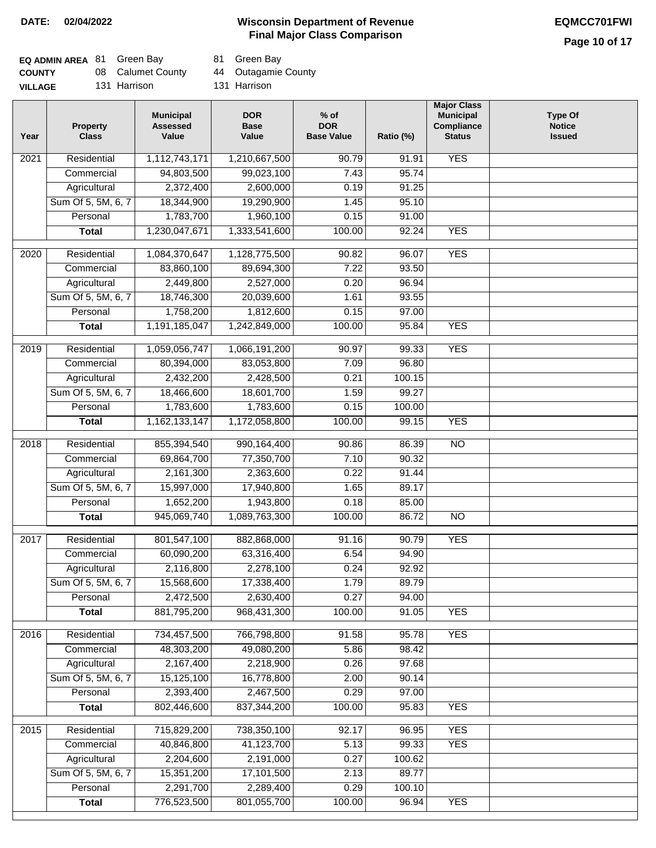### **Wisconsin Department of Revenue DATE: 02/04/2022 EQMCC701FWI Final Major Class Comparison**

## **Page 10 of 17**

| <b>EQ ADMIN AREA 81 Green Bay</b> |                   | 81 Green Bay        |
|-----------------------------------|-------------------|---------------------|
| <b>COUNTY</b>                     | 08 Calumet County | 44 Outagamie County |
| <b>VILLAGE</b>                    | 131 Harrison      | 131 Harrison        |

| Year              | <b>Property</b><br><b>Class</b> | <b>Municipal</b><br><b>Assessed</b><br>Value | <b>DOR</b><br><b>Base</b><br>Value | $%$ of<br><b>DOR</b><br><b>Base Value</b> | Ratio (%) | <b>Major Class</b><br><b>Municipal</b><br>Compliance<br><b>Status</b> | <b>Type Of</b><br><b>Notice</b><br><b>Issued</b> |
|-------------------|---------------------------------|----------------------------------------------|------------------------------------|-------------------------------------------|-----------|-----------------------------------------------------------------------|--------------------------------------------------|
| 2021              | Residential                     | 1,112,743,171                                | 1,210,667,500                      | 90.79                                     | 91.91     | <b>YES</b>                                                            |                                                  |
|                   | Commercial                      | 94,803,500                                   | 99,023,100                         | 7.43                                      | 95.74     |                                                                       |                                                  |
|                   | Agricultural                    | 2,372,400                                    | 2,600,000                          | 0.19                                      | 91.25     |                                                                       |                                                  |
|                   | Sum Of 5, 5M, 6, 7              | 18,344,900                                   | 19,290,900                         | 1.45                                      | 95.10     |                                                                       |                                                  |
|                   | Personal                        | 1,783,700                                    | 1,960,100                          | 0.15                                      | 91.00     |                                                                       |                                                  |
|                   | <b>Total</b>                    | 1,230,047,671                                | 1,333,541,600                      | 100.00                                    | 92.24     | <b>YES</b>                                                            |                                                  |
| 2020              | Residential                     | 1,084,370,647                                | 1,128,775,500                      | 90.82                                     | 96.07     | <b>YES</b>                                                            |                                                  |
|                   | Commercial                      | 83,860,100                                   | 89,694,300                         | 7.22                                      | 93.50     |                                                                       |                                                  |
|                   | Agricultural                    | 2,449,800                                    | 2,527,000                          | 0.20                                      | 96.94     |                                                                       |                                                  |
|                   | Sum Of 5, 5M, 6, 7              | 18,746,300                                   | 20,039,600                         | 1.61                                      | 93.55     |                                                                       |                                                  |
|                   | Personal                        | 1,758,200                                    | 1,812,600                          | 0.15                                      | 97.00     |                                                                       |                                                  |
|                   | <b>Total</b>                    | 1,191,185,047                                | 1,242,849,000                      | 100.00                                    | 95.84     | <b>YES</b>                                                            |                                                  |
| 2019              | Residential                     | 1,059,056,747                                | 1,066,191,200                      | 90.97                                     | 99.33     | <b>YES</b>                                                            |                                                  |
|                   | Commercial                      | 80,394,000                                   | 83,053,800                         | 7.09                                      | 96.80     |                                                                       |                                                  |
|                   | Agricultural                    | 2,432,200                                    | 2,428,500                          | 0.21                                      | 100.15    |                                                                       |                                                  |
|                   | Sum Of 5, 5M, 6, 7              | 18,466,600                                   | 18,601,700                         | 1.59                                      | 99.27     |                                                                       |                                                  |
|                   | Personal                        | 1,783,600                                    | 1,783,600                          | 0.15                                      | 100.00    |                                                                       |                                                  |
|                   | <b>Total</b>                    | 1,162,133,147                                | 1,172,058,800                      | 100.00                                    | 99.15     | <b>YES</b>                                                            |                                                  |
| 2018              | Residential                     | 855,394,540                                  | 990,164,400                        | 90.86                                     | 86.39     | $\overline{NO}$                                                       |                                                  |
|                   | Commercial                      | 69,864,700                                   | 77,350,700                         | 7.10                                      | 90.32     |                                                                       |                                                  |
|                   | Agricultural                    | 2,161,300                                    | 2,363,600                          | 0.22                                      | 91.44     |                                                                       |                                                  |
|                   | Sum Of 5, 5M, 6, 7              | 15,997,000                                   | 17,940,800                         | 1.65                                      | 89.17     |                                                                       |                                                  |
|                   | Personal                        | 1,652,200                                    | 1,943,800                          | 0.18                                      | 85.00     |                                                                       |                                                  |
|                   | <b>Total</b>                    | 945,069,740                                  | 1,089,763,300                      | 100.00                                    | 86.72     | <b>NO</b>                                                             |                                                  |
| $\overline{2017}$ | Residential                     | 801,547,100                                  | 882,868,000                        | 91.16                                     | 90.79     | <b>YES</b>                                                            |                                                  |
|                   | Commercial                      | 60,090,200                                   | 63,316,400                         | 6.54                                      | 94.90     |                                                                       |                                                  |
|                   | Agricultural                    | 2,116,800                                    | 2,278,100                          | 0.24                                      | 92.92     |                                                                       |                                                  |
|                   | Sum Of 5, 5M, 6, 7              | 15,568,600                                   | 17,338,400                         | 1.79                                      | 89.79     |                                                                       |                                                  |
|                   | Personal                        | 2,472,500                                    | 2,630,400                          | 0.27                                      | 94.00     |                                                                       |                                                  |
|                   | <b>Total</b>                    | 881,795,200                                  | 968,431,300                        | 100.00                                    | 91.05     | <b>YES</b>                                                            |                                                  |
| 2016              | Residential                     | 734,457,500                                  | 766,798,800                        | 91.58                                     | 95.78     | <b>YES</b>                                                            |                                                  |
|                   | Commercial                      | 48,303,200                                   | 49,080,200                         | 5.86                                      | 98.42     |                                                                       |                                                  |
|                   | Agricultural                    | 2,167,400                                    | 2,218,900                          | 0.26                                      | 97.68     |                                                                       |                                                  |
|                   | Sum Of 5, 5M, 6, 7              | 15,125,100                                   | 16,778,800                         | 2.00                                      | 90.14     |                                                                       |                                                  |
|                   | Personal                        | 2,393,400                                    | 2,467,500                          | 0.29                                      | 97.00     |                                                                       |                                                  |
|                   | <b>Total</b>                    | 802,446,600                                  | 837, 344, 200                      | 100.00                                    | 95.83     | <b>YES</b>                                                            |                                                  |
| 2015              | Residential                     | 715,829,200                                  | 738,350,100                        | 92.17                                     | 96.95     | <b>YES</b>                                                            |                                                  |
|                   | Commercial                      | 40,846,800                                   | 41,123,700                         | 5.13                                      | 99.33     | <b>YES</b>                                                            |                                                  |
|                   | Agricultural                    | 2,204,600                                    | 2,191,000                          | 0.27                                      | 100.62    |                                                                       |                                                  |
|                   | Sum Of 5, 5M, 6, 7              | 15,351,200                                   | 17,101,500                         | 2.13                                      | 89.77     |                                                                       |                                                  |
|                   | Personal                        | 2,291,700                                    | 2,289,400                          | 0.29                                      | 100.10    |                                                                       |                                                  |
|                   | <b>Total</b>                    | 776,523,500                                  | 801,055,700                        | 100.00                                    | 96.94     | <b>YES</b>                                                            |                                                  |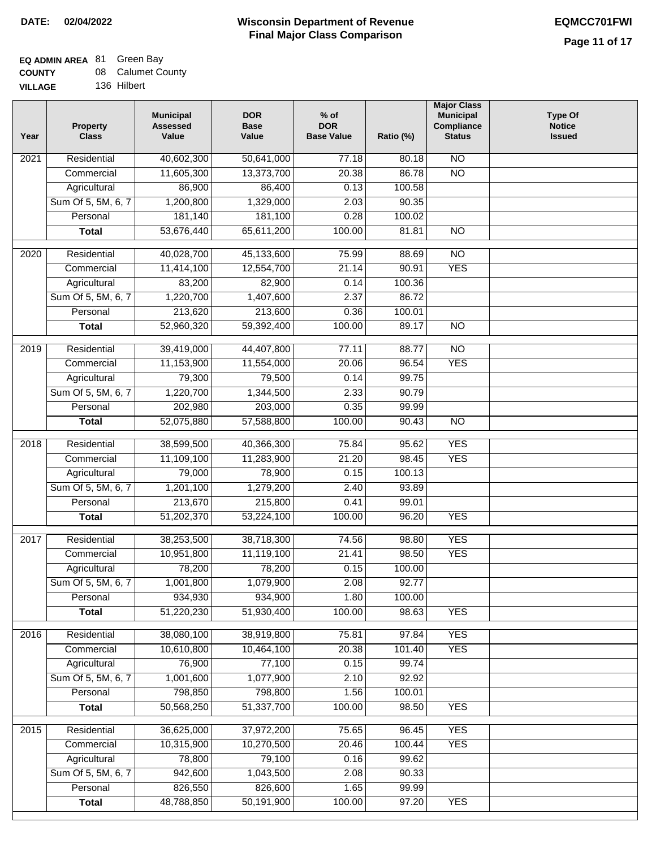### **EQ ADMIN AREA** 81 Green Bay **COUNTY**

| <b>COUNTY</b>  | 08 Calumet County |
|----------------|-------------------|
| <b>VILLAGE</b> | 136 Hilbert       |

| Year             | <b>Property</b><br><b>Class</b> | <b>Municipal</b><br><b>Assessed</b><br>Value | <b>DOR</b><br><b>Base</b><br>Value | $%$ of<br><b>DOR</b><br><b>Base Value</b> | Ratio (%) | <b>Major Class</b><br><b>Municipal</b><br>Compliance<br><b>Status</b> | <b>Type Of</b><br><b>Notice</b><br><b>Issued</b> |
|------------------|---------------------------------|----------------------------------------------|------------------------------------|-------------------------------------------|-----------|-----------------------------------------------------------------------|--------------------------------------------------|
| 2021             | Residential                     | 40,602,300                                   | 50,641,000                         | 77.18                                     | 80.18     | <b>NO</b>                                                             |                                                  |
|                  | Commercial                      | 11,605,300                                   | 13,373,700                         | 20.38                                     | 86.78     | $\overline{NO}$                                                       |                                                  |
|                  | Agricultural                    | 86,900                                       | 86,400                             | 0.13                                      | 100.58    |                                                                       |                                                  |
|                  | Sum Of 5, 5M, 6, 7              | 1,200,800                                    | 1,329,000                          | 2.03                                      | 90.35     |                                                                       |                                                  |
|                  | Personal                        | 181,140                                      | 181,100                            | 0.28                                      | 100.02    |                                                                       |                                                  |
|                  | <b>Total</b>                    | 53,676,440                                   | 65,611,200                         | 100.00                                    | 81.81     | $\overline{NO}$                                                       |                                                  |
| $\frac{1}{2020}$ | Residential                     | 40,028,700                                   | 45,133,600                         | 75.99                                     | 88.69     | $\overline{10}$                                                       |                                                  |
|                  | Commercial                      | 11,414,100                                   | 12,554,700                         | 21.14                                     | 90.91     | <b>YES</b>                                                            |                                                  |
|                  | Agricultural                    | 83,200                                       | 82,900                             | 0.14                                      | 100.36    |                                                                       |                                                  |
|                  | Sum Of 5, 5M, 6, 7              | 1,220,700                                    | 1,407,600                          | 2.37                                      | 86.72     |                                                                       |                                                  |
|                  | Personal                        | 213,620                                      | 213,600                            | 0.36                                      | 100.01    |                                                                       |                                                  |
|                  | <b>Total</b>                    | 52,960,320                                   | 59,392,400                         | 100.00                                    | 89.17     | <b>NO</b>                                                             |                                                  |
| $\frac{1}{2019}$ | Residential                     | 39,419,000                                   | 44,407,800                         | 77.11                                     | 88.77     | $\overline{NO}$                                                       |                                                  |
|                  | Commercial                      | 11,153,900                                   | 11,554,000                         | 20.06                                     | 96.54     | <b>YES</b>                                                            |                                                  |
|                  | Agricultural                    | 79,300                                       | 79,500                             | 0.14                                      | 99.75     |                                                                       |                                                  |
|                  | Sum Of 5, 5M, 6, 7              | 1,220,700                                    | 1,344,500                          | 2.33                                      | 90.79     |                                                                       |                                                  |
|                  | Personal                        | 202,980                                      | 203,000                            | 0.35                                      | 99.99     |                                                                       |                                                  |
|                  | <b>Total</b>                    | 52,075,880                                   | 57,588,800                         | 100.00                                    | 90.43     | $\overline{NO}$                                                       |                                                  |
| 2018             | Residential                     | 38,599,500                                   | 40,366,300                         | 75.84                                     | 95.62     | <b>YES</b>                                                            |                                                  |
|                  | Commercial                      | 11,109,100                                   | 11,283,900                         | 21.20                                     | 98.45     | <b>YES</b>                                                            |                                                  |
|                  | Agricultural                    | 79,000                                       | 78,900                             | 0.15                                      | 100.13    |                                                                       |                                                  |
|                  | Sum Of 5, 5M, 6, 7              | 1,201,100                                    | 1,279,200                          | 2.40                                      | 93.89     |                                                                       |                                                  |
|                  | Personal                        | 213,670                                      | 215,800                            | 0.41                                      | 99.01     |                                                                       |                                                  |
|                  | <b>Total</b>                    | 51,202,370                                   | 53,224,100                         | 100.00                                    | 96.20     | <b>YES</b>                                                            |                                                  |
| 2017             | Residential                     | 38,253,500                                   | 38,718,300                         | 74.56                                     | 98.80     | <b>YES</b>                                                            |                                                  |
|                  | Commercial                      | 10,951,800                                   | 11,119,100                         | 21.41                                     | 98.50     | <b>YES</b>                                                            |                                                  |
|                  | Agricultural                    | 78,200                                       | 78,200                             | 0.15                                      | 100.00    |                                                                       |                                                  |
|                  | Sum Of 5, 5M, 6, 7              | 1,001,800                                    | 1,079,900                          | 2.08                                      | 92.77     |                                                                       |                                                  |
|                  | Personal                        | 934,930                                      | 934,900                            | 1.80                                      | 100.00    |                                                                       |                                                  |
|                  | <b>Total</b>                    | 51,220,230                                   | 51,930,400                         | 100.00                                    | 98.63     | <b>YES</b>                                                            |                                                  |
| 2016             | Residential                     | 38,080,100                                   | 38,919,800                         | 75.81                                     | 97.84     | <b>YES</b>                                                            |                                                  |
|                  | Commercial                      | 10,610,800                                   | 10,464,100                         | 20.38                                     | 101.40    | <b>YES</b>                                                            |                                                  |
|                  | Agricultural                    | 76,900                                       | 77,100                             | 0.15                                      | 99.74     |                                                                       |                                                  |
|                  | Sum Of 5, 5M, 6, 7              | 1,001,600                                    | 1,077,900                          | 2.10                                      | 92.92     |                                                                       |                                                  |
|                  | Personal                        | 798,850                                      | 798,800                            | 1.56                                      | 100.01    |                                                                       |                                                  |
|                  | <b>Total</b>                    | 50,568,250                                   | 51,337,700                         | 100.00                                    | 98.50     | <b>YES</b>                                                            |                                                  |
| 2015             | Residential                     | 36,625,000                                   | 37,972,200                         | 75.65                                     | 96.45     | <b>YES</b>                                                            |                                                  |
|                  | Commercial                      | 10,315,900                                   | 10,270,500                         | 20.46                                     | 100.44    | <b>YES</b>                                                            |                                                  |
|                  | Agricultural                    | 78,800                                       | 79,100                             | 0.16                                      | 99.62     |                                                                       |                                                  |
|                  | Sum Of 5, 5M, 6, 7              | 942,600                                      | 1,043,500                          | 2.08                                      | 90.33     |                                                                       |                                                  |
|                  | Personal                        | 826,550                                      | 826,600                            | 1.65                                      | 99.99     |                                                                       |                                                  |
|                  | <b>Total</b>                    | 48,788,850                                   | 50,191,900                         | 100.00                                    | 97.20     | <b>YES</b>                                                            |                                                  |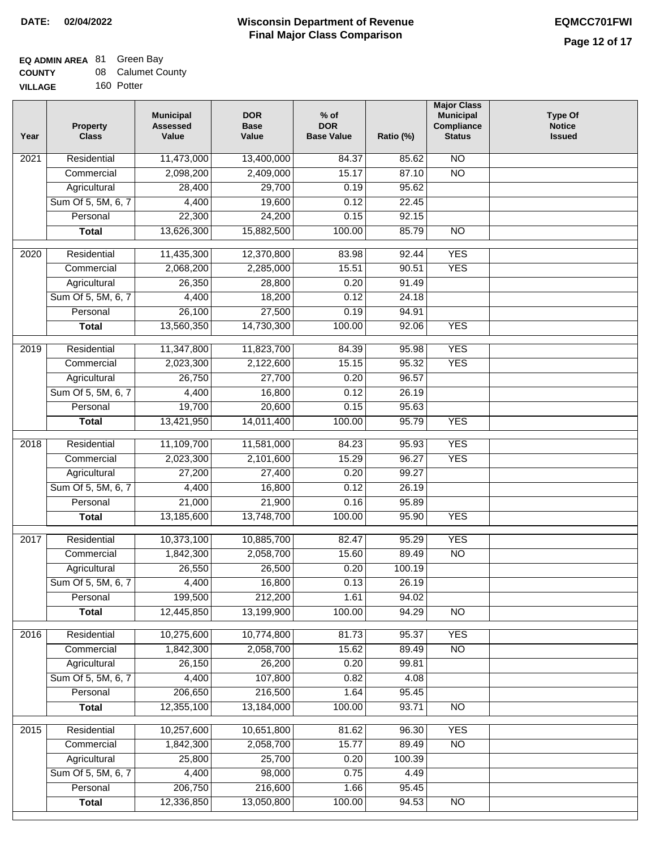### **EQ ADMIN AREA** 81 Green Bay

| <b>COUNTY</b>  | 08 Calumet County |
|----------------|-------------------|
| <b>VILLAGE</b> | 160 Potter        |

| Year              | <b>Property</b><br><b>Class</b> | <b>Municipal</b><br><b>Assessed</b><br>Value | <b>DOR</b><br><b>Base</b><br>Value | $%$ of<br><b>DOR</b><br><b>Base Value</b> | Ratio (%) | <b>Major Class</b><br><b>Municipal</b><br><b>Compliance</b><br><b>Status</b> | <b>Type Of</b><br><b>Notice</b><br><b>Issued</b> |
|-------------------|---------------------------------|----------------------------------------------|------------------------------------|-------------------------------------------|-----------|------------------------------------------------------------------------------|--------------------------------------------------|
| 2021              | Residential                     | 11,473,000                                   | 13,400,000                         | 84.37                                     | 85.62     | N <sub>O</sub>                                                               |                                                  |
|                   | Commercial                      | 2,098,200                                    | 2,409,000                          | 15.17                                     | 87.10     | $\overline{NO}$                                                              |                                                  |
|                   | Agricultural                    | 28,400                                       | 29,700                             | 0.19                                      | 95.62     |                                                                              |                                                  |
|                   | Sum Of 5, 5M, 6, 7              | 4,400                                        | 19,600                             | 0.12                                      | 22.45     |                                                                              |                                                  |
|                   | Personal                        | 22,300                                       | 24,200                             | 0.15                                      | 92.15     |                                                                              |                                                  |
|                   | <b>Total</b>                    | 13,626,300                                   | 15,882,500                         | 100.00                                    | 85.79     | $\overline{NO}$                                                              |                                                  |
| 2020              | Residential                     | 11,435,300                                   | 12,370,800                         | 83.98                                     | 92.44     | <b>YES</b>                                                                   |                                                  |
|                   | Commercial                      | 2,068,200                                    | 2,285,000                          | 15.51                                     | 90.51     | <b>YES</b>                                                                   |                                                  |
|                   | Agricultural                    | 26,350                                       | 28,800                             | 0.20                                      | 91.49     |                                                                              |                                                  |
|                   | Sum Of 5, 5M, 6, 7              | 4,400                                        | 18,200                             | 0.12                                      | 24.18     |                                                                              |                                                  |
|                   | Personal                        | 26,100                                       | 27,500                             | 0.19                                      | 94.91     |                                                                              |                                                  |
|                   | <b>Total</b>                    | 13,560,350                                   | 14,730,300                         | 100.00                                    | 92.06     | <b>YES</b>                                                                   |                                                  |
|                   |                                 |                                              |                                    |                                           |           |                                                                              |                                                  |
| 2019              | Residential                     | 11,347,800                                   | 11,823,700                         | 84.39                                     | 95.98     | <b>YES</b>                                                                   |                                                  |
|                   | Commercial                      | 2,023,300                                    | 2,122,600                          | 15.15                                     | 95.32     | <b>YES</b>                                                                   |                                                  |
|                   | Agricultural                    | 26,750                                       | 27,700                             | 0.20                                      | 96.57     |                                                                              |                                                  |
|                   | Sum Of 5, 5M, 6, 7              | 4,400                                        | 16,800                             | 0.12                                      | 26.19     |                                                                              |                                                  |
|                   | Personal                        | 19,700                                       | 20,600                             | 0.15                                      | 95.63     |                                                                              |                                                  |
|                   | <b>Total</b>                    | 13,421,950                                   | 14,011,400                         | 100.00                                    | 95.79     | <b>YES</b>                                                                   |                                                  |
| $\overline{2018}$ | Residential                     | 11,109,700                                   | 11,581,000                         | 84.23                                     | 95.93     | <b>YES</b>                                                                   |                                                  |
|                   | Commercial                      | 2,023,300                                    | 2,101,600                          | 15.29                                     | 96.27     | <b>YES</b>                                                                   |                                                  |
|                   | Agricultural                    | 27,200                                       | 27,400                             | 0.20                                      | 99.27     |                                                                              |                                                  |
|                   | Sum Of 5, 5M, 6, 7              | 4,400                                        | 16,800                             | 0.12                                      | 26.19     |                                                                              |                                                  |
|                   | Personal                        | 21,000                                       | 21,900                             | 0.16                                      | 95.89     |                                                                              |                                                  |
|                   | <b>Total</b>                    | 13,185,600                                   | 13,748,700                         | 100.00                                    | 95.90     | <b>YES</b>                                                                   |                                                  |
| 2017              | Residential                     | 10,373,100                                   | 10,885,700                         | 82.47                                     | 95.29     | <b>YES</b>                                                                   |                                                  |
|                   | Commercial                      | 1,842,300                                    | 2,058,700                          | 15.60                                     | 89.49     | N <sub>O</sub>                                                               |                                                  |
|                   | Agricultural                    | 26,550                                       | 26,500                             | 0.20                                      | 100.19    |                                                                              |                                                  |
|                   | Sum Of 5, 5M, 6, 7              | 4,400                                        | 16,800                             | 0.13                                      | 26.19     |                                                                              |                                                  |
|                   | Personal                        | 199,500                                      | 212,200                            | 1.61                                      | 94.02     |                                                                              |                                                  |
|                   | <b>Total</b>                    | 12,445,850                                   | 13,199,900                         | 100.00                                    | 94.29     | $\overline{NO}$                                                              |                                                  |
| 2016              | Residential                     | 10,275,600                                   | 10,774,800                         | 81.73                                     | 95.37     | <b>YES</b>                                                                   |                                                  |
|                   | Commercial                      | 1,842,300                                    | 2,058,700                          | 15.62                                     | 89.49     | N <sub>O</sub>                                                               |                                                  |
|                   | Agricultural                    | 26,150                                       | 26,200                             | 0.20                                      | 99.81     |                                                                              |                                                  |
|                   | Sum Of 5, 5M, 6, 7              | 4,400                                        | 107,800                            | 0.82                                      | 4.08      |                                                                              |                                                  |
|                   | Personal                        | 206,650                                      | 216,500                            | 1.64                                      | 95.45     |                                                                              |                                                  |
|                   | <b>Total</b>                    | 12,355,100                                   | 13,184,000                         | 100.00                                    | 93.71     | N <sub>O</sub>                                                               |                                                  |
|                   |                                 |                                              |                                    |                                           |           |                                                                              |                                                  |
| 2015              | Residential                     | 10,257,600                                   | 10,651,800                         | 81.62                                     | 96.30     | <b>YES</b>                                                                   |                                                  |
|                   | Commercial                      | 1,842,300                                    | 2,058,700                          | 15.77                                     | 89.49     | $\overline{NO}$                                                              |                                                  |
|                   | Agricultural                    | 25,800                                       | 25,700                             | 0.20                                      | 100.39    |                                                                              |                                                  |
|                   | Sum Of 5, 5M, 6, 7              | 4,400                                        | 98,000                             | 0.75                                      | 4.49      |                                                                              |                                                  |
|                   | Personal                        | 206,750                                      | 216,600                            | 1.66                                      | 95.45     |                                                                              |                                                  |
|                   | <b>Total</b>                    | 12,336,850                                   | 13,050,800                         | 100.00                                    | 94.53     | $\overline{NO}$                                                              |                                                  |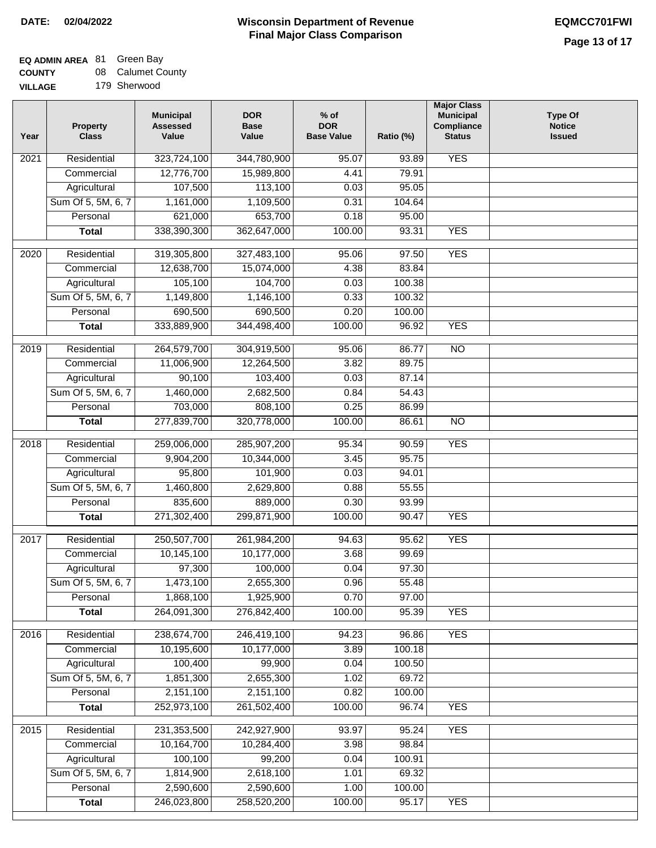### **Wisconsin Department of Revenue Final Major Class Comparison DATE: 02/04/2022 EQMCC701FWI**

٦

## **EQ ADMIN AREA** 81 Green Bay

**COUNTY** 08 Calumet County

| <b>COUNTY</b>  | uo Caluniel Co |
|----------------|----------------|
| <b>VILLAGE</b> | 179 Sherwood   |

| Year              | <b>Property</b><br><b>Class</b> | <b>Municipal</b><br><b>Assessed</b><br>Value | <b>DOR</b><br><b>Base</b><br>Value | $%$ of<br><b>DOR</b><br><b>Base Value</b> | Ratio (%) | <b>Major Class</b><br><b>Municipal</b><br>Compliance<br><b>Status</b> | <b>Type Of</b><br><b>Notice</b><br><b>Issued</b> |
|-------------------|---------------------------------|----------------------------------------------|------------------------------------|-------------------------------------------|-----------|-----------------------------------------------------------------------|--------------------------------------------------|
| 2021              | Residential                     | 323,724,100                                  | 344,780,900                        | 95.07                                     | 93.89     | <b>YES</b>                                                            |                                                  |
|                   | Commercial                      | 12,776,700                                   | 15,989,800                         | 4.41                                      | 79.91     |                                                                       |                                                  |
|                   | Agricultural                    | 107,500                                      | 113,100                            | 0.03                                      | 95.05     |                                                                       |                                                  |
|                   | Sum Of 5, 5M, 6, 7              | 1,161,000                                    | 1,109,500                          | 0.31                                      | 104.64    |                                                                       |                                                  |
|                   | Personal                        | 621,000                                      | 653,700                            | 0.18                                      | 95.00     |                                                                       |                                                  |
|                   | <b>Total</b>                    | 338,390,300                                  | 362,647,000                        | 100.00                                    | 93.31     | <b>YES</b>                                                            |                                                  |
| 2020              | Residential                     | 319,305,800                                  | 327,483,100                        | 95.06                                     | 97.50     | <b>YES</b>                                                            |                                                  |
|                   | Commercial                      | 12,638,700                                   | 15,074,000                         | 4.38                                      | 83.84     |                                                                       |                                                  |
|                   | Agricultural                    | 105,100                                      | 104,700                            | 0.03                                      | 100.38    |                                                                       |                                                  |
|                   | Sum Of 5, 5M, 6, 7              | 1,149,800                                    | 1,146,100                          | 0.33                                      | 100.32    |                                                                       |                                                  |
|                   | Personal                        | 690,500                                      | 690,500                            | 0.20                                      | 100.00    |                                                                       |                                                  |
|                   | <b>Total</b>                    | 333,889,900                                  | 344,498,400                        | 100.00                                    | 96.92     | <b>YES</b>                                                            |                                                  |
|                   |                                 |                                              |                                    |                                           |           |                                                                       |                                                  |
| 2019              | Residential                     | 264,579,700                                  | 304,919,500                        | 95.06                                     | 86.77     | $\overline{10}$                                                       |                                                  |
|                   | Commercial                      | 11,006,900                                   | 12,264,500                         | 3.82                                      | 89.75     |                                                                       |                                                  |
|                   | Agricultural                    | 90,100                                       | 103,400                            | 0.03                                      | 87.14     |                                                                       |                                                  |
|                   | Sum Of 5, 5M, 6, 7              | 1,460,000                                    | 2,682,500                          | 0.84                                      | 54.43     |                                                                       |                                                  |
|                   | Personal                        | 703,000                                      | 808,100                            | 0.25                                      | 86.99     |                                                                       |                                                  |
|                   | <b>Total</b>                    | 277,839,700                                  | 320,778,000                        | 100.00                                    | 86.61     | $\overline{NO}$                                                       |                                                  |
| $\overline{2018}$ | Residential                     | 259,006,000                                  | 285,907,200                        | 95.34                                     | 90.59     | <b>YES</b>                                                            |                                                  |
|                   | Commercial                      | 9,904,200                                    | 10,344,000                         | 3.45                                      | 95.75     |                                                                       |                                                  |
|                   | Agricultural                    | 95,800                                       | 101,900                            | 0.03                                      | 94.01     |                                                                       |                                                  |
|                   | Sum Of 5, 5M, 6, 7              | 1,460,800                                    | 2,629,800                          | 0.88                                      | 55.55     |                                                                       |                                                  |
|                   | Personal                        | 835,600                                      | 889,000                            | 0.30                                      | 93.99     |                                                                       |                                                  |
|                   | <b>Total</b>                    | 271,302,400                                  | 299,871,900                        | 100.00                                    | 90.47     | <b>YES</b>                                                            |                                                  |
| 2017              | Residential                     | 250,507,700                                  | 261,984,200                        | 94.63                                     | 95.62     | <b>YES</b>                                                            |                                                  |
|                   | Commercial                      | 10,145,100                                   | 10,177,000                         | 3.68                                      | 99.69     |                                                                       |                                                  |
|                   | Agricultural                    | 97,300                                       | 100,000                            | 0.04                                      | 97.30     |                                                                       |                                                  |
|                   | Sum Of 5, 5M, 6, 7              | 1,473,100                                    | 2,655,300                          | 0.96                                      | 55.48     |                                                                       |                                                  |
|                   | Personal                        | 1,868,100                                    | 1,925,900                          | 0.70                                      | 97.00     |                                                                       |                                                  |
|                   | <b>Total</b>                    | 264,091,300                                  | 276,842,400                        | 100.00                                    | 95.39     | <b>YES</b>                                                            |                                                  |
| 2016              | Residential                     | 238,674,700                                  | 246,419,100                        | 94.23                                     | 96.86     | <b>YES</b>                                                            |                                                  |
|                   | Commercial                      | 10,195,600                                   | 10,177,000                         | 3.89                                      | 100.18    |                                                                       |                                                  |
|                   | Agricultural                    | 100,400                                      | 99,900                             | 0.04                                      | 100.50    |                                                                       |                                                  |
|                   | Sum Of 5, 5M, 6, 7              | 1,851,300                                    | 2,655,300                          | 1.02                                      | 69.72     |                                                                       |                                                  |
|                   | Personal                        | 2,151,100                                    | 2,151,100                          | 0.82                                      | 100.00    |                                                                       |                                                  |
|                   | <b>Total</b>                    | 252,973,100                                  | 261,502,400                        | 100.00                                    | 96.74     | <b>YES</b>                                                            |                                                  |
|                   |                                 |                                              |                                    |                                           |           |                                                                       |                                                  |
| 2015              | Residential                     | 231,353,500                                  | 242,927,900                        | 93.97                                     | 95.24     | <b>YES</b>                                                            |                                                  |
|                   | Commercial                      | 10,164,700                                   | 10,284,400                         | 3.98                                      | 98.84     |                                                                       |                                                  |
|                   | Agricultural                    | 100,100                                      | 99,200                             | 0.04                                      | 100.91    |                                                                       |                                                  |
|                   | Sum Of 5, 5M, 6, 7              | 1,814,900                                    | 2,618,100                          | 1.01                                      | 69.32     |                                                                       |                                                  |
|                   | Personal                        | 2,590,600                                    | 2,590,600                          | 1.00                                      | 100.00    |                                                                       |                                                  |
|                   | <b>Total</b>                    | 246,023,800                                  | 258,520,200                        | 100.00                                    | 95.17     | <b>YES</b>                                                            |                                                  |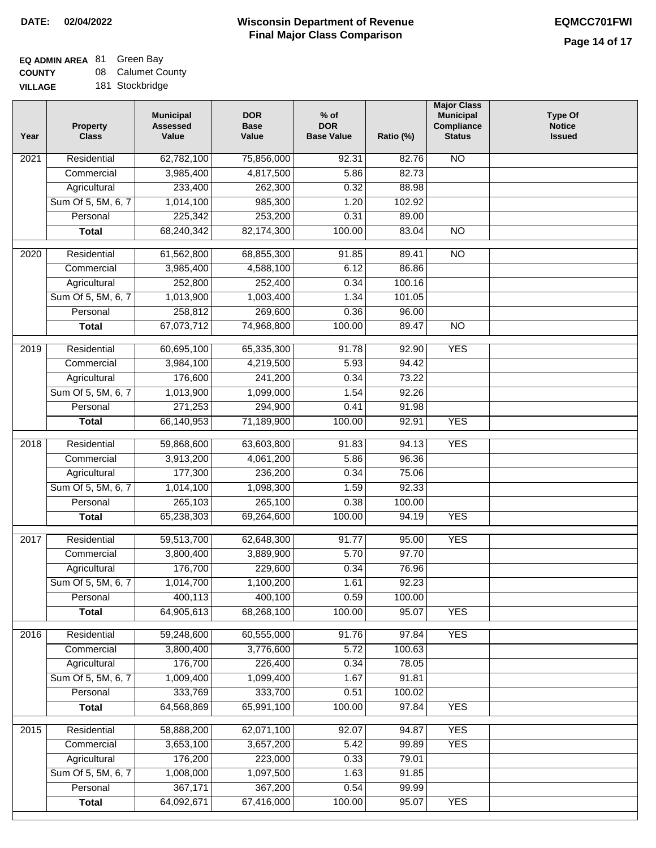# **EQ ADMIN AREA** 81 Green Bay

**COUNTY VILLAGE** 08 Calumet County 181 Stockbridge

| Year | <b>Property</b><br><b>Class</b> | <b>Municipal</b><br><b>Assessed</b><br>Value | <b>DOR</b><br><b>Base</b><br>Value | $%$ of<br><b>DOR</b><br><b>Base Value</b> | Ratio (%) | <b>Major Class</b><br><b>Municipal</b><br>Compliance<br><b>Status</b> | <b>Type Of</b><br><b>Notice</b><br><b>Issued</b> |
|------|---------------------------------|----------------------------------------------|------------------------------------|-------------------------------------------|-----------|-----------------------------------------------------------------------|--------------------------------------------------|
| 2021 | Residential                     | 62,782,100                                   | 75,856,000                         | 92.31                                     | 82.76     | $\overline{NO}$                                                       |                                                  |
|      | Commercial                      | 3,985,400                                    | 4,817,500                          | 5.86                                      | 82.73     |                                                                       |                                                  |
|      | Agricultural                    | 233,400                                      | 262,300                            | 0.32                                      | 88.98     |                                                                       |                                                  |
|      | Sum Of 5, 5M, 6, 7              | 1,014,100                                    | 985,300                            | 1.20                                      | 102.92    |                                                                       |                                                  |
|      | Personal                        | 225,342                                      | 253,200                            | 0.31                                      | 89.00     |                                                                       |                                                  |
|      | <b>Total</b>                    | 68,240,342                                   | 82,174,300                         | 100.00                                    | 83.04     | <b>NO</b>                                                             |                                                  |
| 2020 | Residential                     | 61,562,800                                   | 68,855,300                         | 91.85                                     | 89.41     | $\overline{NO}$                                                       |                                                  |
|      | Commercial                      | 3,985,400                                    | 4,588,100                          | 6.12                                      | 86.86     |                                                                       |                                                  |
|      | Agricultural                    | 252,800                                      | 252,400                            | 0.34                                      | 100.16    |                                                                       |                                                  |
|      | Sum Of 5, 5M, 6, 7              | 1,013,900                                    | 1,003,400                          | 1.34                                      | 101.05    |                                                                       |                                                  |
|      | Personal                        | 258,812                                      | 269,600                            | 0.36                                      | 96.00     |                                                                       |                                                  |
|      | <b>Total</b>                    | 67,073,712                                   | 74,968,800                         | 100.00                                    | 89.47     | $\overline{NO}$                                                       |                                                  |
| 2019 | Residential                     | 60,695,100                                   | 65,335,300                         | 91.78                                     | 92.90     | <b>YES</b>                                                            |                                                  |
|      | Commercial                      | 3,984,100                                    | 4,219,500                          | 5.93                                      | 94.42     |                                                                       |                                                  |
|      | Agricultural                    | 176,600                                      | 241,200                            | 0.34                                      | 73.22     |                                                                       |                                                  |
|      | Sum Of 5, 5M, 6, 7              | 1,013,900                                    | 1,099,000                          | 1.54                                      | 92.26     |                                                                       |                                                  |
|      | Personal                        | 271,253                                      | 294,900                            | 0.41                                      | 91.98     |                                                                       |                                                  |
|      | <b>Total</b>                    | 66,140,953                                   | 71,189,900                         | 100.00                                    | 92.91     | <b>YES</b>                                                            |                                                  |
| 2018 | Residential                     | 59,868,600                                   | 63,603,800                         | 91.83                                     | 94.13     | <b>YES</b>                                                            |                                                  |
|      | Commercial                      | 3,913,200                                    | 4,061,200                          | 5.86                                      | 96.36     |                                                                       |                                                  |
|      | Agricultural                    | 177,300                                      | 236,200                            | 0.34                                      | 75.06     |                                                                       |                                                  |
|      | Sum Of 5, 5M, 6, 7              | 1,014,100                                    | 1,098,300                          | 1.59                                      | 92.33     |                                                                       |                                                  |
|      | Personal                        | 265,103                                      | 265,100                            | 0.38                                      | 100.00    |                                                                       |                                                  |
|      | <b>Total</b>                    | 65,238,303                                   | 69,264,600                         | 100.00                                    | 94.19     | <b>YES</b>                                                            |                                                  |
| 2017 | Residential                     | 59,513,700                                   | 62,648,300                         | 91.77                                     | 95.00     | <b>YES</b>                                                            |                                                  |
|      | Commercial                      | 3,800,400                                    | 3,889,900                          | 5.70                                      | 97.70     |                                                                       |                                                  |
|      | Agricultural                    | 176,700                                      | 229,600                            | 0.34                                      | 76.96     |                                                                       |                                                  |
|      | Sum Of 5, 5M, 6, 7              | 1,014,700                                    | 1,100,200                          | 1.61                                      | 92.23     |                                                                       |                                                  |
|      | Personal                        | 400,113                                      | 400,100                            | 0.59                                      | 100.00    |                                                                       |                                                  |
|      | <b>Total</b>                    | 64,905,613                                   | 68,268,100                         | 100.00                                    | 95.07     | <b>YES</b>                                                            |                                                  |
| 2016 | Residential                     | 59,248,600                                   | 60,555,000                         | 91.76                                     | 97.84     | <b>YES</b>                                                            |                                                  |
|      | Commercial                      | 3,800,400                                    | 3,776,600                          | 5.72                                      | 100.63    |                                                                       |                                                  |
|      | Agricultural                    | 176,700                                      | 226,400                            | 0.34                                      | 78.05     |                                                                       |                                                  |
|      | Sum Of 5, 5M, 6, 7              | 1,009,400                                    | 1,099,400                          | 1.67                                      | 91.81     |                                                                       |                                                  |
|      | Personal                        | 333,769                                      | 333,700                            | 0.51                                      | 100.02    |                                                                       |                                                  |

|      | Sum Of 5, 5M, 6, 7 | 1,009,400  | 1,099,400  | 1.67   | 91.81  |            |  |
|------|--------------------|------------|------------|--------|--------|------------|--|
|      | Personal           | 333,769    | 333,700    | 0.51   | 100.02 |            |  |
|      | Total              | 64,568,869 | 65,991,100 | 100.00 | 97.84  | <b>YES</b> |  |
|      |                    |            |            |        |        |            |  |
| 2015 | Residential        | 58,888,200 | 62,071,100 | 92.07  | 94.87  | <b>YES</b> |  |
|      | Commercial         | 3,653,100  | 3,657,200  | 5.42   | 99.89  | <b>YES</b> |  |
|      | Agricultural       | 176,200    | 223,000    | 0.33   | 79.01  |            |  |
|      | Sum Of 5, 5M, 6, 7 | 1,008,000  | 1,097,500  | 1.63   | 91.85  |            |  |
|      | Personal           | 367,171    | 367,200    | 0.54   | 99.99  |            |  |
|      | Total              | 64,092,671 | 67,416,000 | 100.00 | 95.07  | YES        |  |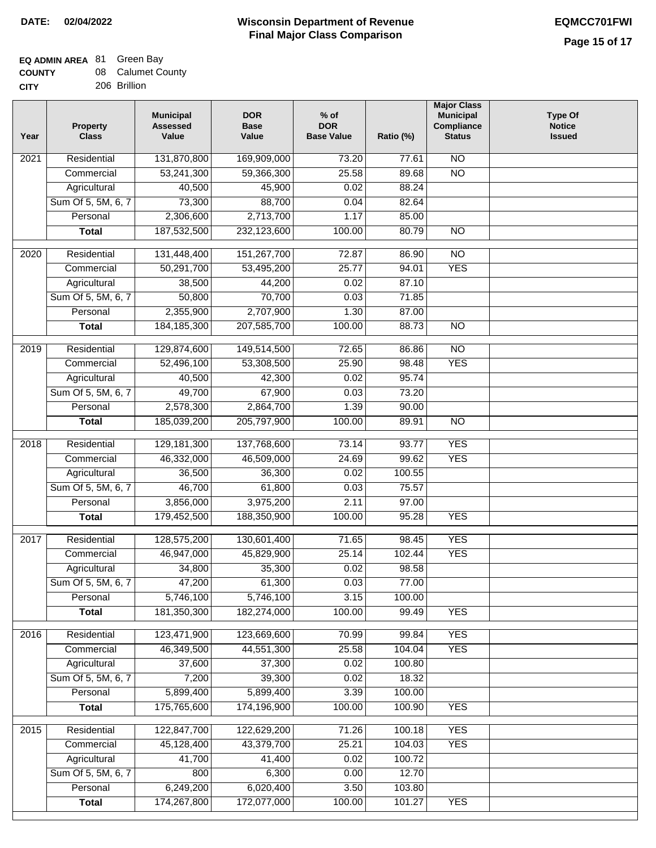### **Wisconsin Department of Revenue DATE: 02/04/2022 EQMCC701FWI Final Major Class Comparison**

# **EQ ADMIN AREA** 81 Green Bay

| <b>COUNTY</b> | 08 Calumet County |
|---------------|-------------------|
| <b>CITY</b>   | 206 Brillion      |

| Year              | <b>Property</b><br><b>Class</b>    | <b>Municipal</b><br><b>Assessed</b><br>Value | <b>DOR</b><br><b>Base</b><br>Value | $%$ of<br><b>DOR</b><br><b>Base Value</b> | Ratio (%)      | <b>Major Class</b><br><b>Municipal</b><br>Compliance<br><b>Status</b> | <b>Type Of</b><br><b>Notice</b><br><b>Issued</b> |
|-------------------|------------------------------------|----------------------------------------------|------------------------------------|-------------------------------------------|----------------|-----------------------------------------------------------------------|--------------------------------------------------|
| 2021              | Residential                        | 131,870,800                                  | 169,909,000                        | 73.20                                     | 77.61          | $\overline{NO}$                                                       |                                                  |
|                   | Commercial                         | 53,241,300                                   | 59,366,300                         | 25.58                                     | 89.68          | $\overline{NO}$                                                       |                                                  |
|                   | Agricultural                       | 40,500                                       | 45,900                             | 0.02                                      | 88.24          |                                                                       |                                                  |
|                   | Sum Of 5, 5M, 6, 7                 | 73,300                                       | 88,700                             | 0.04                                      | 82.64          |                                                                       |                                                  |
|                   | Personal                           | 2,306,600                                    | 2,713,700                          | 1.17                                      | 85.00          |                                                                       |                                                  |
|                   | <b>Total</b>                       | 187,532,500                                  | 232,123,600                        | 100.00                                    | 80.79          | $\overline{NO}$                                                       |                                                  |
|                   |                                    |                                              |                                    |                                           |                |                                                                       |                                                  |
| $\overline{2020}$ | Residential                        | 131,448,400                                  | 151,267,700                        | 72.87                                     | 86.90          | $\overline{NO}$                                                       |                                                  |
|                   | Commercial                         | 50,291,700                                   | 53,495,200                         | 25.77                                     | 94.01<br>87.10 | <b>YES</b>                                                            |                                                  |
|                   | Agricultural<br>Sum Of 5, 5M, 6, 7 | 38,500                                       | 44,200<br>70,700                   | 0.02<br>0.03                              | 71.85          |                                                                       |                                                  |
|                   | Personal                           | 50,800<br>2,355,900                          | 2,707,900                          | 1.30                                      | 87.00          |                                                                       |                                                  |
|                   | <b>Total</b>                       | 184, 185, 300                                | 207,585,700                        | 100.00                                    | 88.73          | $\overline{NO}$                                                       |                                                  |
|                   |                                    |                                              |                                    |                                           |                |                                                                       |                                                  |
| $\frac{1}{2019}$  | Residential                        | 129,874,600                                  | 149,514,500                        | 72.65                                     | 86.86          | $\overline{NO}$                                                       |                                                  |
|                   | Commercial                         | 52,496,100                                   | 53,308,500                         | 25.90                                     | 98.48          | <b>YES</b>                                                            |                                                  |
|                   | Agricultural                       | 40,500                                       | 42,300                             | 0.02                                      | 95.74          |                                                                       |                                                  |
|                   | Sum Of 5, 5M, 6, 7                 | 49,700                                       | 67,900                             | 0.03                                      | 73.20          |                                                                       |                                                  |
|                   | Personal                           | 2,578,300                                    | 2,864,700                          | 1.39                                      | 90.00          |                                                                       |                                                  |
|                   | <b>Total</b>                       | 185,039,200                                  | 205,797,900                        | 100.00                                    | 89.91          | $\overline{NO}$                                                       |                                                  |
| 2018              | Residential                        | 129,181,300                                  | 137,768,600                        | 73.14                                     | 93.77          | <b>YES</b>                                                            |                                                  |
|                   | Commercial                         | 46,332,000                                   | 46,509,000                         | 24.69                                     | 99.62          | <b>YES</b>                                                            |                                                  |
|                   | Agricultural                       | 36,500                                       | 36,300                             | 0.02                                      | 100.55         |                                                                       |                                                  |
|                   | Sum Of 5, 5M, 6, 7                 | 46,700                                       | 61,800                             | 0.03                                      | 75.57          |                                                                       |                                                  |
|                   | Personal                           | 3,856,000                                    | 3,975,200                          | 2.11                                      | 97.00          |                                                                       |                                                  |
|                   | <b>Total</b>                       | 179,452,500                                  | 188,350,900                        | 100.00                                    | 95.28          | <b>YES</b>                                                            |                                                  |
| 2017              | Residential                        | 128,575,200                                  | 130,601,400                        | 71.65                                     | 98.45          | <b>YES</b>                                                            |                                                  |
|                   | Commercial                         | 46,947,000                                   | 45,829,900                         | 25.14                                     | 102.44         | <b>YES</b>                                                            |                                                  |
|                   | Agricultural                       | 34,800                                       | 35,300                             | 0.02                                      | 98.58          |                                                                       |                                                  |
|                   | Sum Of 5, 5M, 6, 7                 | 47,200                                       | 61,300                             | 0.03                                      | 77.00          |                                                                       |                                                  |
|                   | Personal                           | 5,746,100                                    | 5,746,100                          | 3.15                                      | 100.00         |                                                                       |                                                  |
|                   | <b>Total</b>                       | 181,350,300                                  | 182,274,000                        | 100.00                                    | 99.49          | <b>YES</b>                                                            |                                                  |
| 2016              | Residential                        | 123,471,900                                  | 123,669,600                        | 70.99                                     | 99.84          | <b>YES</b>                                                            |                                                  |
|                   | Commercial                         | 46,349,500                                   | 44,551,300                         | 25.58                                     | 104.04         | <b>YES</b>                                                            |                                                  |
|                   | Agricultural                       | 37,600                                       | 37,300                             | 0.02                                      | 100.80         |                                                                       |                                                  |
|                   | Sum Of 5, 5M, 6, 7                 | 7,200                                        | 39,300                             | 0.02                                      | 18.32          |                                                                       |                                                  |
|                   | Personal                           | 5,899,400                                    | 5,899,400                          | 3.39                                      | 100.00         |                                                                       |                                                  |
|                   | <b>Total</b>                       | 175,765,600                                  | 174,196,900                        | 100.00                                    | 100.90         | <b>YES</b>                                                            |                                                  |
| 2015              | Residential                        | 122,847,700                                  | 122,629,200                        | 71.26                                     | 100.18         | <b>YES</b>                                                            |                                                  |
|                   | Commercial                         | 45,128,400                                   | 43,379,700                         | 25.21                                     | 104.03         | <b>YES</b>                                                            |                                                  |
|                   | Agricultural                       | 41,700                                       | 41,400                             | 0.02                                      | 100.72         |                                                                       |                                                  |
|                   | Sum Of 5, 5M, 6, 7                 | 800                                          | 6,300                              | 0.00                                      | 12.70          |                                                                       |                                                  |
|                   | Personal                           | 6,249,200                                    | 6,020,400                          | 3.50                                      | 103.80         |                                                                       |                                                  |
|                   | <b>Total</b>                       | 174,267,800                                  | 172,077,000                        | 100.00                                    | 101.27         | <b>YES</b>                                                            |                                                  |
|                   |                                    |                                              |                                    |                                           |                |                                                                       |                                                  |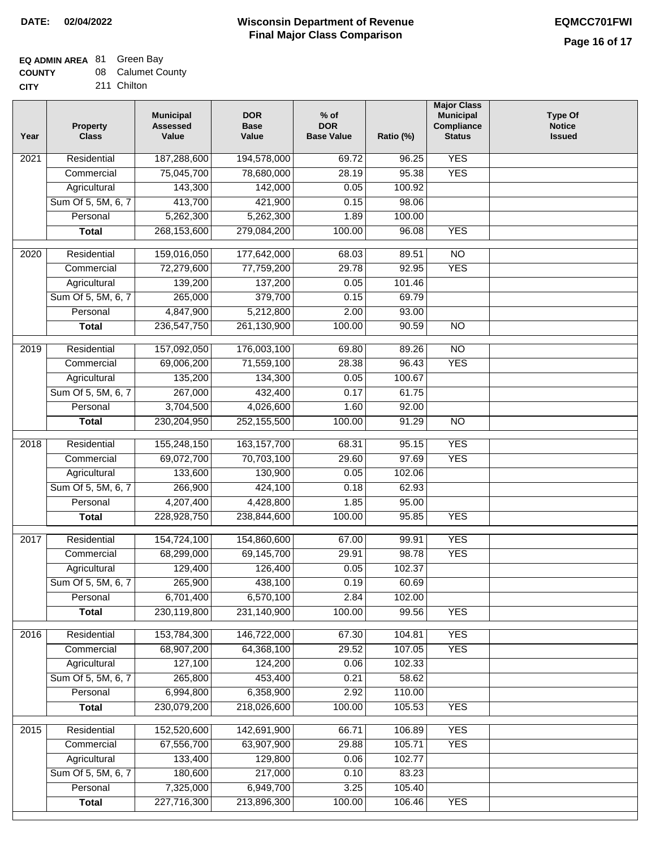## **EQ ADMIN AREA** 81 Green Bay

| <b>COUNTY</b> | 08 Calumet County |
|---------------|-------------------|
| CITY          | 211 Chilton       |

211 Chilton

| Year              | <b>Property</b><br><b>Class</b> | <b>Municipal</b><br><b>Assessed</b><br>Value | <b>DOR</b><br><b>Base</b><br>Value | $%$ of<br><b>DOR</b><br><b>Base Value</b> | Ratio (%) | <b>Major Class</b><br><b>Municipal</b><br>Compliance<br><b>Status</b> | <b>Type Of</b><br><b>Notice</b><br><b>Issued</b> |
|-------------------|---------------------------------|----------------------------------------------|------------------------------------|-------------------------------------------|-----------|-----------------------------------------------------------------------|--------------------------------------------------|
| $\overline{202}1$ | Residential                     | 187,288,600                                  | 194,578,000                        | 69.72                                     | 96.25     | <b>YES</b>                                                            |                                                  |
|                   | Commercial                      | 75,045,700                                   | 78,680,000                         | 28.19                                     | 95.38     | <b>YES</b>                                                            |                                                  |
|                   | Agricultural                    | 143,300                                      | 142,000                            | 0.05                                      | 100.92    |                                                                       |                                                  |
|                   | Sum Of 5, 5M, 6, 7              | 413,700                                      | 421,900                            | 0.15                                      | 98.06     |                                                                       |                                                  |
|                   | Personal                        | 5,262,300                                    | 5,262,300                          | 1.89                                      | 100.00    |                                                                       |                                                  |
|                   | <b>Total</b>                    | 268,153,600                                  | 279,084,200                        | 100.00                                    | 96.08     | <b>YES</b>                                                            |                                                  |
| $\overline{2020}$ | Residential                     | 159,016,050                                  | 177,642,000                        | 68.03                                     | 89.51     | $\overline{NO}$                                                       |                                                  |
|                   | Commercial                      | 72,279,600                                   | 77,759,200                         | 29.78                                     | 92.95     | <b>YES</b>                                                            |                                                  |
|                   | Agricultural                    | 139,200                                      | 137,200                            | 0.05                                      | 101.46    |                                                                       |                                                  |
|                   | Sum Of 5, 5M, 6, 7              | 265,000                                      | 379,700                            | 0.15                                      | 69.79     |                                                                       |                                                  |
|                   | Personal                        | 4,847,900                                    | 5,212,800                          | 2.00                                      | 93.00     |                                                                       |                                                  |
|                   | <b>Total</b>                    | 236,547,750                                  | 261,130,900                        | 100.00                                    | 90.59     | $\overline{NO}$                                                       |                                                  |
| 2019              | Residential                     | 157,092,050                                  | 176,003,100                        | 69.80                                     | 89.26     | $\overline{10}$                                                       |                                                  |
|                   | Commercial                      | 69,006,200                                   | 71,559,100                         | 28.38                                     | 96.43     | <b>YES</b>                                                            |                                                  |
|                   | Agricultural                    | 135,200                                      | 134,300                            | 0.05                                      | 100.67    |                                                                       |                                                  |
|                   | Sum Of 5, 5M, 6, 7              | 267,000                                      | 432,400                            | 0.17                                      | 61.75     |                                                                       |                                                  |
|                   | Personal                        | 3,704,500                                    | 4,026,600                          | 1.60                                      | 92.00     |                                                                       |                                                  |
|                   | <b>Total</b>                    | 230,204,950                                  | 252,155,500                        | 100.00                                    | 91.29     | $\overline{NO}$                                                       |                                                  |
|                   |                                 |                                              |                                    |                                           |           |                                                                       |                                                  |
| 2018              | Residential                     | 155,248,150                                  | 163, 157, 700                      | 68.31                                     | 95.15     | <b>YES</b>                                                            |                                                  |
|                   | Commercial                      | 69,072,700                                   | 70,703,100                         | 29.60                                     | 97.69     | <b>YES</b>                                                            |                                                  |
|                   | Agricultural                    | 133,600                                      | 130,900                            | 0.05                                      | 102.06    |                                                                       |                                                  |
|                   | Sum Of 5, 5M, 6, 7              | 266,900                                      | 424,100                            | 0.18                                      | 62.93     |                                                                       |                                                  |
|                   | Personal                        | 4,207,400                                    | 4,428,800                          | 1.85                                      | 95.00     |                                                                       |                                                  |
|                   | <b>Total</b>                    | 228,928,750                                  | 238,844,600                        | 100.00                                    | 95.85     | <b>YES</b>                                                            |                                                  |
| 2017              | Residential                     | 154,724,100                                  | 154,860,600                        | 67.00                                     | 99.91     | <b>YES</b>                                                            |                                                  |
|                   | Commercial                      | 68,299,000                                   | 69,145,700                         | 29.91                                     | 98.78     | <b>YES</b>                                                            |                                                  |
|                   | Agricultural                    | 129,400                                      | 126,400                            | 0.05                                      | 102.37    |                                                                       |                                                  |
|                   | Sum Of 5, 5M, 6, 7              | 265,900                                      | 438,100                            | 0.19                                      | 60.69     |                                                                       |                                                  |
|                   | Personal                        | 6,701,400                                    | 6,570,100                          | 2.84                                      | 102.00    |                                                                       |                                                  |
|                   | <b>Total</b>                    | 230,119,800                                  | 231,140,900                        | 100.00                                    | 99.56     | <b>YES</b>                                                            |                                                  |
| 2016              | Residential                     | 153,784,300                                  | 146,722,000                        | 67.30                                     | 104.81    | <b>YES</b>                                                            |                                                  |
|                   | Commercial                      | 68,907,200                                   | 64,368,100                         | 29.52                                     | 107.05    | <b>YES</b>                                                            |                                                  |
|                   | Agricultural                    | 127,100                                      | 124,200                            | 0.06                                      | 102.33    |                                                                       |                                                  |
|                   | Sum Of 5, 5M, 6, 7              | 265,800                                      | 453,400                            | 0.21                                      | 58.62     |                                                                       |                                                  |
|                   | Personal                        | 6,994,800                                    | 6,358,900                          | 2.92                                      | 110.00    |                                                                       |                                                  |
|                   | <b>Total</b>                    | 230,079,200                                  | 218,026,600                        | 100.00                                    | 105.53    | <b>YES</b>                                                            |                                                  |
| 2015              | Residential                     | 152,520,600                                  | 142,691,900                        | 66.71                                     | 106.89    | <b>YES</b>                                                            |                                                  |
|                   | Commercial                      | 67,556,700                                   | 63,907,900                         | 29.88                                     | 105.71    | <b>YES</b>                                                            |                                                  |
|                   | Agricultural                    | 133,400                                      | 129,800                            | 0.06                                      | 102.77    |                                                                       |                                                  |
|                   | Sum Of 5, 5M, 6, 7              | 180,600                                      | 217,000                            | 0.10                                      | 83.23     |                                                                       |                                                  |
|                   | Personal                        | 7,325,000                                    | 6,949,700                          | 3.25                                      | 105.40    |                                                                       |                                                  |
|                   | <b>Total</b>                    | 227,716,300                                  | 213,896,300                        | 100.00                                    | 106.46    | <b>YES</b>                                                            |                                                  |
|                   |                                 |                                              |                                    |                                           |           |                                                                       |                                                  |